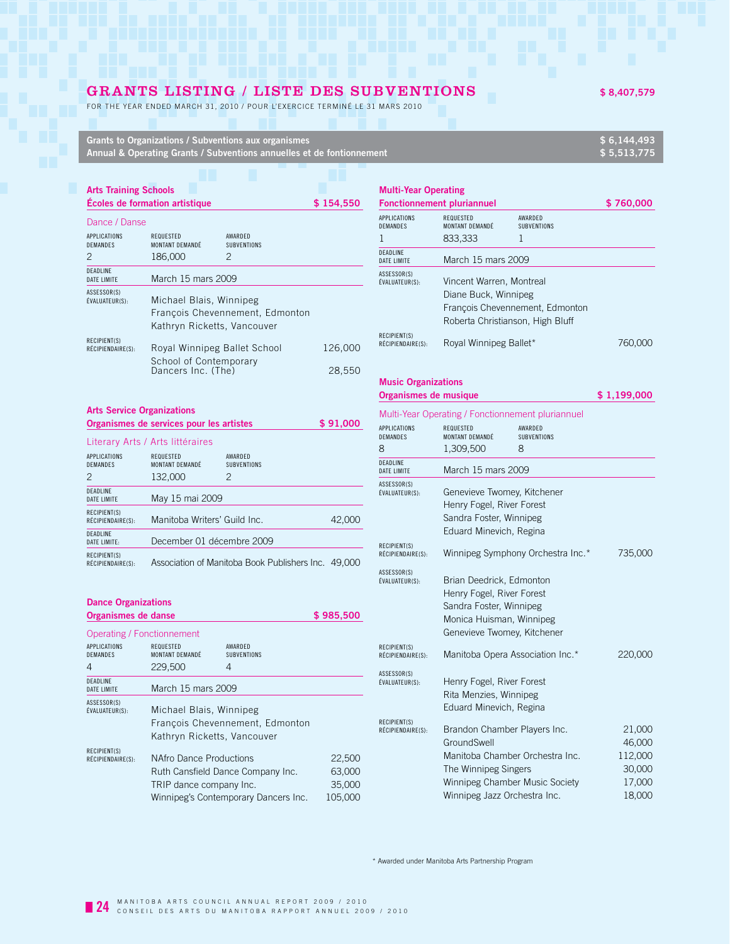## GRANTS LISTING / LISTE DES SUBVENTIONS  $$8,407,579$

FOR THE YEAR ENDED MARCH 31, 2010 / POUR L'EXERCICE TERMINÉ LE 31 MARS 2010

| Grants to Organizations / Subventions aux organismes                    | \$6.144.493 |
|-------------------------------------------------------------------------|-------------|
| Annual & Operating Grants / Subventions annuelles et de fontionnement 1 | \$5.513.775 |
|                                                                         |             |

### **Arts Training Schools Écoles de formation artistique \$ 154,550**

| Dance / Danse |  |  |
|---------------|--|--|
|               |  |  |

| ранье дранье                           |                                                        |                                 |         |
|----------------------------------------|--------------------------------------------------------|---------------------------------|---------|
| <b>APPLICATIONS</b><br><b>DEMANDES</b> | <b>REQUESTED</b><br>MONTANT DEMANDÉ                    | AWARDED<br><b>SUBVENTIONS</b>   |         |
| 2                                      | 186,000                                                | 2                               |         |
| <b>DEADLINE</b><br><b>DATE LIMITE</b>  | March 15 mars 2009                                     |                                 |         |
| ASSESSOR(S)<br>ÉVALUATEUR(S):          | Michael Blais, Winnipeg<br>Kathryn Ricketts, Vancouver | Francois Chevennement, Edmonton |         |
| RECIPIENT(S)<br>RÉCIPIENDAIRE(S):      | Royal Winnipeg Ballet School                           |                                 | 126,000 |
|                                        | School of Contemporary<br>Dancers Inc. (The)           |                                 | 28.550  |

| <b>Arts Service Organizations</b>      |                                                      |                                                     |        |
|----------------------------------------|------------------------------------------------------|-----------------------------------------------------|--------|
|                                        | Organismes de services pour les artistes<br>\$91,000 |                                                     |        |
|                                        | Literary Arts / Arts littéraires                     |                                                     |        |
| <b>APPLICATIONS</b><br><b>DEMANDES</b> | REQUESTED<br>MONTANT DEMANDÉ                         | AWARDED<br><b>SUBVENTIONS</b>                       |        |
| 2                                      | 132,000                                              | 2                                                   |        |
| <b>DEADLINE</b><br>DATE LIMITE         | May 15 mai 2009                                      |                                                     |        |
| RECIPIENT(S)<br>RÉCIPIENDAIRE(S):      | Manitoba Writers' Guild Inc.                         |                                                     | 42,000 |
| <b>DEADLINE</b><br>DATE LIMITE:        | December 01 décembre 2009                            |                                                     |        |
| RECIPIENT(S)<br>RÉCIPIENDAIRE(S):      |                                                      | Association of Manitoba Book Publishers Inc. 49,000 |        |

| <b>Dance Organizations</b>            |                                     |                                      |           |
|---------------------------------------|-------------------------------------|--------------------------------------|-----------|
| Organismes de danse                   |                                     |                                      | \$985,500 |
|                                       | Operating / Fonctionnement          |                                      |           |
| APPLICATIONS<br>DEMANDES              | <b>REQUESTED</b><br>MONTANT DEMANDÉ | AWARDED<br><b>SUBVENTIONS</b>        |           |
| 4                                     | 229,500                             | 4                                    |           |
| <b>DEADLINE</b><br><b>DATE LIMITE</b> | March 15 mars 2009                  |                                      |           |
| ASSESSOR(S)<br>ÉVALUATEUR(S):         | Michael Blais, Winnipeg             |                                      |           |
|                                       |                                     | François Chevennement, Edmonton      |           |
|                                       |                                     | Kathryn Ricketts, Vancouver          |           |
| RECIPIENT(S)<br>RÉCIPIENDAIRE(S):     | NAfro Dance Productions             |                                      | 22,500    |
|                                       |                                     | Ruth Cansfield Dance Company Inc.    | 63,000    |
|                                       | TRIP dance company Inc.             |                                      | 35,000    |
|                                       |                                     | Winnipeg's Contemporary Dancers Inc. | 105.000   |

| <b>Multi-Year Operating</b><br><b>Fonctionnement pluriannuel</b> |                                                                                                                         |                               | \$760.000 |
|------------------------------------------------------------------|-------------------------------------------------------------------------------------------------------------------------|-------------------------------|-----------|
| APPLICATIONS<br><b>DEMANDES</b>                                  | REQUESTED<br>MONTANT DEMANDÉ                                                                                            | AWARDED<br><b>SUBVENTIONS</b> |           |
|                                                                  | 833,333                                                                                                                 | 1                             |           |
| <b>DEADLINE</b><br><b>DATE LIMITE</b>                            | March 15 mars 2009                                                                                                      |                               |           |
| ASSESSOR(S)<br>ÉVALUATEUR(S):                                    | Vincent Warren, Montreal<br>Diane Buck, Winnipeg<br>François Chevennement, Edmonton<br>Roberta Christianson, High Bluff |                               |           |
| RECIPIENT(S)<br>RÉCIPIENDAIRE(S):                                | Royal Winnipeg Ballet*                                                                                                  |                               | /60.0     |

| <b>Music Organizations</b> |             |
|----------------------------|-------------|
| Organismes de musique      | \$1,199,000 |

| Multi-Year Operating / Fonctionnement pluriannuel |  |  |
|---------------------------------------------------|--|--|
|---------------------------------------------------|--|--|

| APPLICATIONS<br>DEMANDES<br>8     | REQUESTED<br>MONTANT DEMANDÉ<br>1,309,500                                                                                                   | AWARDED<br><b>SUBVENTIONS</b><br>8 |                                                           |
|-----------------------------------|---------------------------------------------------------------------------------------------------------------------------------------------|------------------------------------|-----------------------------------------------------------|
| DEADLINE<br>DATE LIMITE           | March 15 mars 2009                                                                                                                          |                                    |                                                           |
| ASSESSOR(S)<br>ÉVALUATEUR(S):     | Genevieve Twomey, Kitchener<br>Henry Fogel, River Forest<br>Sandra Foster, Winnipeg<br>Eduard Minevich, Regina                              |                                    |                                                           |
| RECIPIENT(S)<br>RÉCIPIENDAIRE(S): |                                                                                                                                             | Winnipeg Symphony Orchestra Inc.*  | 735,000                                                   |
| ASSESSOR(S)<br>ÉVALUATEUR(S):     | Brian Deedrick, Edmonton<br>Henry Fogel, River Forest<br>Sandra Foster, Winnipeg<br>Monica Huisman, Winnipeg<br>Genevieve Twomey, Kitchener |                                    |                                                           |
| RECIPIENT(S)<br>RÉCIPIENDAIRE(S): | Manitoba Opera Association Inc.*                                                                                                            |                                    | 220,000                                                   |
| ASSESSOR(S)<br>ÉVALUATEUR(S):     | Henry Fogel, River Forest<br>Rita Menzies, Winnipeg<br>Eduard Minevich, Regina                                                              |                                    |                                                           |
| RECIPIENT(S)<br>RÉCIPIENDAIRE(S): | Brandon Chamber Players Inc.<br>GroundSwell<br>The Winnipeg Singers<br>Winnipeg Chamber Music Society<br>Winnipeg Jazz Orchestra Inc.       | Manitoba Chamber Orchestra Inc.    | 21,000<br>46,000<br>112,000<br>30,000<br>17,000<br>18,000 |

\* Awarded under Manitoba Arts Partnership Program

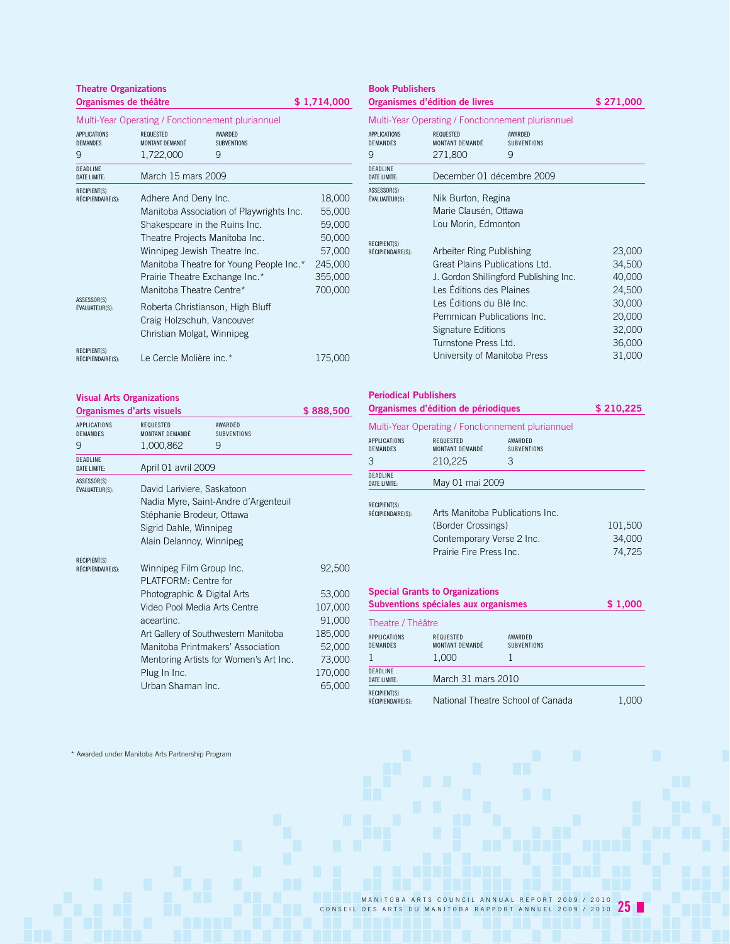## **Theatre Organizations Organismes de théâtre**  $$ 1,714,000$

Multi-Year Operating / Fonctionnement pluriannuel

| APPI ICATIONS<br><b>DEMANDES</b>         | <b>REQUESTED</b><br>MONTANT DEMANDÉ                                                          | <b>AWARDED</b><br><b>SUBVENTIONS</b>     |         |
|------------------------------------------|----------------------------------------------------------------------------------------------|------------------------------------------|---------|
| 9                                        | 1,722,000                                                                                    | 9                                        |         |
| <b>DEADLINE</b><br>DATF I IMITF:         | March 15 mars 2009                                                                           |                                          |         |
| RECIPIENT(S)<br>RÉCIPIENDAIRE(S):        | Adhere And Deny Inc.                                                                         |                                          | 18,000  |
|                                          |                                                                                              | Manitoba Association of Playwrights Inc. | 55,000  |
|                                          | Shakespeare in the Ruins Inc.<br>Theatre Projects Manitoba Inc.                              |                                          | 59,000  |
|                                          |                                                                                              |                                          | 50,000  |
|                                          | Winnipeg Jewish Theatre Inc.                                                                 |                                          | 57,000  |
|                                          |                                                                                              | Manitoba Theatre for Young People Inc.*  | 245,000 |
|                                          | Prairie Theatre Exchange Inc.*                                                               |                                          | 355,000 |
|                                          | Manitoba Theatre Centre*                                                                     |                                          | 700,000 |
| ASSESSOR(S)<br>ÉVALUATEUR(S):            | Roberta Christianson, High Bluff<br>Craig Holzschuh, Vancouver<br>Christian Molgat, Winnipeg |                                          |         |
| <b>RECIPIENT(S)</b><br>RÉCIPIENDAIRE(S): | Le Cercle Molière inc.*                                                                      |                                          | 175,000 |

## **Visual Arts Organizations**

|                                        | Organismes d'arts visuels    |                                        | \$888,500 |
|----------------------------------------|------------------------------|----------------------------------------|-----------|
| <b>APPLICATIONS</b><br><b>DEMANDES</b> | REQUESTED<br>MONTANT DEMANDÉ | AWARDED<br><b>SUBVENTIONS</b>          |           |
| 9                                      | 1,000,862                    | 9                                      |           |
| DEADLINE<br><b>DATE LIMITE:</b>        | April 01 avril 2009          |                                        |           |
| ASSESSOR(S)<br>ÉVALUATEUR(S):          | David Lariviere, Saskatoon   | Nadia Myre, Saint-Andre d'Argenteuil   |           |
|                                        | Stéphanie Brodeur, Ottawa    |                                        |           |
|                                        | Sigrid Dahle, Winnipeg       |                                        |           |
|                                        | Alain Delannoy, Winnipeg     |                                        |           |
| <b>RECIPIENT(S)</b>                    |                              |                                        |           |
| RÉCIPIENDAIRE(S):                      | Winnipeg Film Group Inc.     |                                        | 92,500    |
|                                        | PI ATFORM Centre for         |                                        |           |
|                                        | Photographic & Digital Arts  |                                        | 53,000    |
|                                        | Video Pool Media Arts Centre |                                        | 107,000   |
|                                        | aceartinc.                   |                                        | 91,000    |
|                                        |                              | Art Gallery of Southwestern Manitoba   | 185,000   |
|                                        |                              | Manitoba Printmakers' Association      | 52,000    |
|                                        |                              | Mentoring Artists for Women's Art Inc. | 73,000    |
|                                        | Plug In Inc.                 |                                        | 170,000   |
|                                        | Urban Shaman Inc.            |                                        | 65,000    |

## **Book Publishers**

**Organismes d'édition de livres \$ 271,000**

Multi-Year Operating / Fonctionnement pluriannuel

| APPLICATIONS<br><b>DEMANDES</b>          | <b>REQUESTED</b><br>MONTANT DEMANDÉ    | AWARDED<br><b>SUBVENTIONS</b> |        |  |
|------------------------------------------|----------------------------------------|-------------------------------|--------|--|
| 9                                        | 271,800                                | 9                             |        |  |
| <b>DEADLINE</b><br><b>DATE LIMITE:</b>   | December 01 décembre 2009              |                               |        |  |
| ASSESSOR(S)<br>ÉVALUATEUR(S):            | Nik Burton, Regina                     |                               |        |  |
|                                          | Marie Clausén, Ottawa                  |                               |        |  |
|                                          | Lou Morin, Edmonton                    |                               |        |  |
| <b>RECIPIENT(S)</b><br>RÉCIPIENDAIRE(S): | Arbeiter Ring Publishing               |                               | 23,000 |  |
|                                          | Great Plains Publications Ltd.         |                               | 34,500 |  |
|                                          | J. Gordon Shillingford Publishing Inc. |                               | 40,000 |  |
|                                          | Les Éditions des Plaines               |                               | 24,500 |  |
|                                          | Les Éditions du Blé Inc.               |                               | 30,000 |  |
|                                          | Pemmican Publications Inc.             |                               | 20,000 |  |
|                                          | Signature Editions                     |                               | 32,000 |  |
|                                          | Turnstone Press Ltd.                   |                               | 36,000 |  |
|                                          | University of Manitoba Press           |                               | 31,000 |  |

### **Periodical Publishers Organismes d'édition de périodiques \$ 210,225**

|                                          |                                        | Multi-Year Operating / Fonctionnement pluriannuel |         |  |
|------------------------------------------|----------------------------------------|---------------------------------------------------|---------|--|
| <b>APPLICATIONS</b>                      | REQUESTED                              | AWARDED                                           |         |  |
| DEMANDES                                 | MONTANT DEMANDÉ                        | <b>SUBVENTIONS</b>                                |         |  |
| 3                                        | 210,225                                | 3                                                 |         |  |
| <b>DEADLINE</b><br>DATF I IMITF:         | May 01 mai 2009                        |                                                   |         |  |
| <b>RECIPIENT(S)</b>                      |                                        |                                                   |         |  |
| RÉCIPIENDAIRE(S):                        |                                        | Arts Manitoba Publications Inc.                   |         |  |
|                                          |                                        | (Border Crossings)                                |         |  |
|                                          | Contemporary Verse 2 Inc.              |                                                   | 34,000  |  |
|                                          | Prairie Fire Press Inc.                |                                                   | 74,725  |  |
|                                          |                                        |                                                   |         |  |
|                                          | <b>Special Grants to Organizations</b> |                                                   |         |  |
|                                          | Subventions spéciales aux organismes   |                                                   | \$1,000 |  |
| Theatre / Théâtre                        |                                        |                                                   |         |  |
| <b>APPLICATIONS</b><br>DEMANDES          | REQUESTED<br>MONTANT DEMANDÉ           | AWARDED<br><b>SUBVENTIONS</b>                     |         |  |
| 1                                        | 1,000                                  | 1                                                 |         |  |
| <b>DEADLINE</b><br><b>DATE LIMITE:</b>   | March 31 mars 2010                     |                                                   |         |  |
| <b>RECIPIENT(S)</b><br>RÉCIPIENDAIRE(S): |                                        | National Theatre School of Canada                 | 1,000   |  |

\* Awarded under Manitoba Arts Partnership Program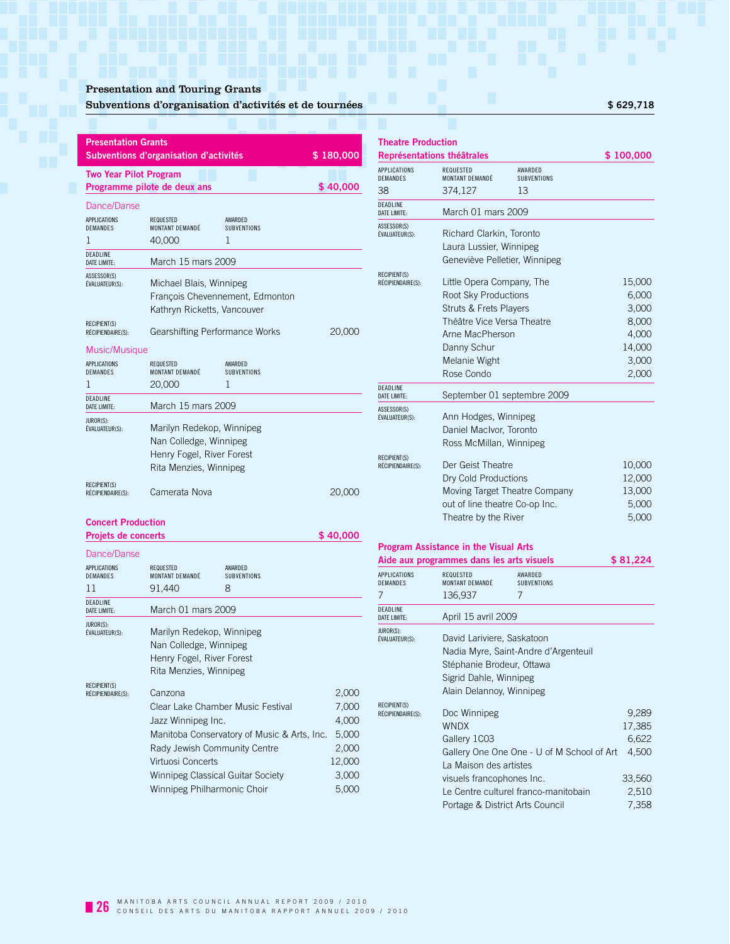## Presentation and Touring Grants

## Subventions d'organisation d'activités et de tournées **\$ 629,718**

| <b>Presentation Grants</b>                      | Subventions d'organisation d'activités                                                                     |                                    | \$180,000 |  |
|-------------------------------------------------|------------------------------------------------------------------------------------------------------------|------------------------------------|-----------|--|
| <b>Two Year Pilot Program</b>                   | Programme pilote de deux ans                                                                               |                                    | \$40,000  |  |
| Dance/Danse                                     |                                                                                                            |                                    |           |  |
| <b>APPLICATIONS</b><br><b>DEMANDES</b><br>1     | <b>REQUESTED</b><br>MONTANT DEMANDÉ<br>40,000                                                              | AWARDED<br><b>SUBVENTIONS</b><br>1 |           |  |
| <b>DEADLINE</b><br><b>DATE LIMITE:</b>          | March 15 mars 2009                                                                                         |                                    |           |  |
| ASSESSOR(S)<br><b>ÉVALUATEUR(S):</b>            | Michael Blais, Winnipeg<br>Kathryn Ricketts, Vancouver                                                     | Francois Chevennement, Edmonton    |           |  |
| <b>RECIPIENT(S)</b><br>RÉCIPIENDAIRE(S):        | Gearshifting Performance Works                                                                             |                                    | 20,000    |  |
| Music/Musique                                   |                                                                                                            |                                    |           |  |
| <b>APPLICATIONS</b><br><b>DEMANDES</b><br>1     | <b>REQUESTED</b><br>MONTANT DEMANDÉ<br>20,000                                                              | AWARDED<br><b>SUBVENTIONS</b><br>1 |           |  |
| DEADLINE<br><b>DATE LIMITE:</b>                 | March 15 mars 2009                                                                                         |                                    |           |  |
| JUROR(S):<br><b>ÉVALUATEUR(S):</b>              | Marilyn Redekop, Winnipeg<br>Nan Colledge, Winnipeg<br>Henry Fogel, River Forest<br>Rita Menzies, Winnipeg |                                    |           |  |
| <b>RECIPIENT(S)</b><br>RÉCIPIENDAIRE(S):        | Camerata Nova                                                                                              |                                    | 20,000    |  |
| <b>Concert Production</b>                       |                                                                                                            |                                    |           |  |
| Projets de concerts                             |                                                                                                            |                                    | \$40,000  |  |
| Dance/Danse<br><b>APPI ICATIONS</b><br>DEMANDES | <b>REQUESTED</b><br>MONTANT DEMANDÉ                                                                        | AWARDED<br>SUBVENTIONS             |           |  |

| DEMANDES                                 | MONTANT DEMANDÉ                                                                                                                                                                             | <b>SUBVENTIONS</b>                          |                                                                       |
|------------------------------------------|---------------------------------------------------------------------------------------------------------------------------------------------------------------------------------------------|---------------------------------------------|-----------------------------------------------------------------------|
| 11                                       | 91,440                                                                                                                                                                                      | 8                                           |                                                                       |
| <b>DEADLINE</b><br><b>DATE LIMITE:</b>   | March 01 mars 2009                                                                                                                                                                          |                                             |                                                                       |
| JUROR(S):<br>ÉVALUATEUR(S):              | Marilyn Redekop, Winnipeg<br>Nan Colledge, Winnipeg<br>Henry Fogel, River Forest<br>Rita Menzies, Winnipeg                                                                                  |                                             |                                                                       |
| <b>RECIPIENT(S)</b><br>RÉCIPIENDAIRE(S): | Canzona<br>Clear Lake Chamber Music Festival<br>Jazz Winnipeg Inc.<br>Rady Jewish Community Centre<br>Virtuosi Concerts<br>Winnipeg Classical Guitar Society<br>Winnipeg Philharmonic Choir | Manitoba Conservatory of Music & Arts, Inc. | 2,000<br>7,000<br>4,000<br>5,000<br>2,000<br>12,000<br>3,000<br>5,000 |

| <b>Theatre Production</b>                |                                                   |                               |                 |
|------------------------------------------|---------------------------------------------------|-------------------------------|-----------------|
|                                          | Représentations théâtrales                        |                               | \$100,000       |
| <b>APPLICATIONS</b><br><b>DEMANDES</b>   | <b>REQUESTED</b><br>MONTANT DEMANDÉ               | AWARDED<br><b>SUBVENTIONS</b> |                 |
| 38                                       | 374,127                                           | 13                            |                 |
| DEADLINE<br><b>DATE LIMITE:</b>          | March 01 mars 2009                                |                               |                 |
| ASSESSOR(S)<br><b>ÉVALUATEUR(S):</b>     | Richard Clarkin, Toronto                          |                               |                 |
|                                          | Laura Lussier, Winnipeg                           |                               |                 |
|                                          | Geneviève Pelletier, Winnipeg                     |                               |                 |
| RECIPIENT(S)                             |                                                   |                               |                 |
| RÉCIPIENDAIRE(S):                        | Little Opera Company, The<br>Root Sky Productions |                               | 15,000<br>6,000 |
|                                          | Struts & Frets Players                            |                               | 3,000           |
|                                          | Théâtre Vice Versa Theatre                        |                               | 8,000           |
|                                          | Arne MacPherson                                   |                               | 4,000           |
|                                          | Danny Schur                                       |                               | 14,000          |
|                                          | Melanie Wight                                     |                               | 3,000           |
|                                          | Rose Condo                                        |                               | 2,000           |
| DEADLINE<br><b>DATE LIMITE:</b>          |                                                   | September 01 septembre 2009   |                 |
| ASSESSOR(S)                              |                                                   |                               |                 |
| ÉVALUATEUR(S):                           | Ann Hodges, Winnipeg                              |                               |                 |
|                                          | Daniel MacIvor, Toronto                           |                               |                 |
|                                          | Ross McMillan, Winnipeg                           |                               |                 |
| <b>RECIPIENT(S)</b><br>RÉCIPIENDAIRE(S): | Der Geist Theatre                                 |                               | 10,000          |
|                                          | Dry Cold Productions                              |                               | 12,000          |
|                                          |                                                   | Moving Target Theatre Company | 13,000          |
|                                          | out of line theatre Co-op Inc.                    |                               | 5,000           |
|                                          | Theatre by the River                              |                               | 5,000           |

### **Program Assistance in the Visual Arts**

| Aide aux programmes dans les arts visuels |                                 |                                            | \$81,224 |  |  |  |
|-------------------------------------------|---------------------------------|--------------------------------------------|----------|--|--|--|
| <b>APPLICATIONS</b><br><b>DEMANDES</b>    | REQUESTED<br>MONTANT DEMANDÉ    | AWARDED<br><b>SUBVENTIONS</b>              |          |  |  |  |
| 7                                         | 136,937                         | 7                                          |          |  |  |  |
| <b>DEADLINE</b><br><b>DATE LIMITE:</b>    | April 15 avril 2009             |                                            |          |  |  |  |
| JUROR(S):<br>ÉVALUATEUR(S):               | David Lariviere, Saskatoon      |                                            |          |  |  |  |
|                                           |                                 | Nadia Myre, Saint-Andre d'Argenteuil       |          |  |  |  |
|                                           |                                 | Stéphanie Brodeur, Ottawa                  |          |  |  |  |
|                                           | Sigrid Dahle, Winnipeg          |                                            |          |  |  |  |
|                                           | Alain Delannoy, Winnipeg        |                                            |          |  |  |  |
| <b>RECIPIENT(S)</b>                       |                                 |                                            |          |  |  |  |
| RÉCIPIENDAIRE(S):                         | Doc Winnipeg                    |                                            | 9,289    |  |  |  |
|                                           | <b>WNDX</b>                     |                                            | 17,385   |  |  |  |
|                                           | Gallery 1CO3                    |                                            | 6,622    |  |  |  |
|                                           |                                 | Gallery One One One - U of M School of Art | 4,500    |  |  |  |
|                                           | La Maison des artistes          |                                            |          |  |  |  |
|                                           | visuels francophones Inc.       |                                            | 33,560   |  |  |  |
|                                           |                                 | Le Centre culturel franco-manitobain       | 2,510    |  |  |  |
|                                           | Portage & District Arts Council |                                            | 7,358    |  |  |  |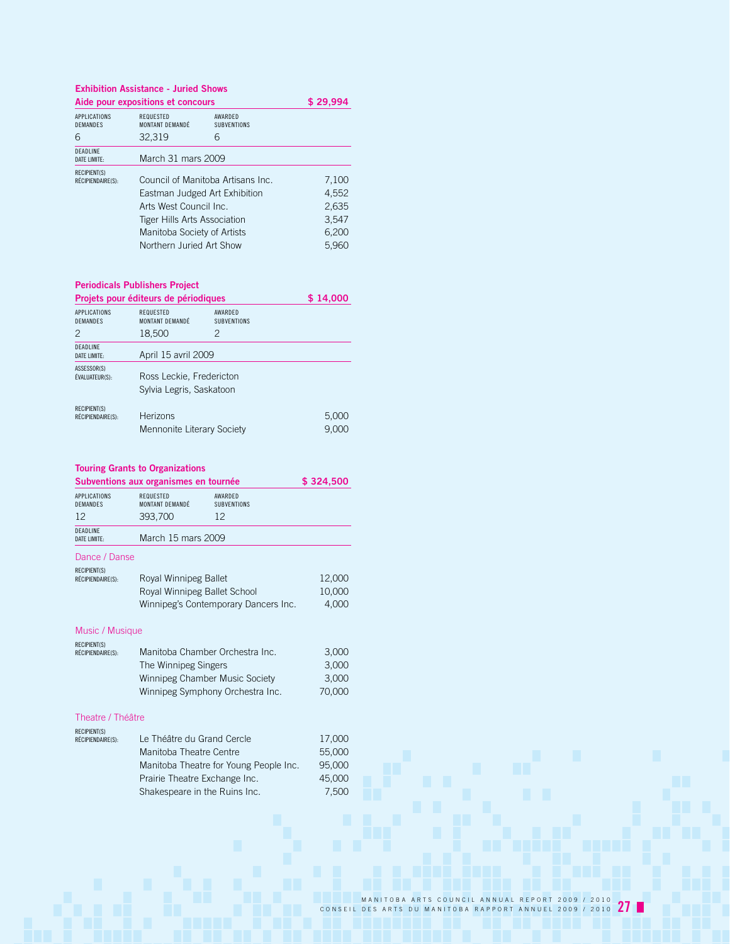**Exhibition Assistance - Juried Shows**

|                                          | Aide pour expositions et concours                       |                                   | \$29,994       |  |
|------------------------------------------|---------------------------------------------------------|-----------------------------------|----------------|--|
| APPLICATIONS<br><b>DEMANDES</b>          | REQUESTED<br>MONTANT DEMANDÉ                            | AWARDED<br><b>SUBVENTIONS</b>     |                |  |
| 6                                        | 32,319                                                  | 6                                 |                |  |
| DEADLINE<br><b>DATE LIMITE:</b>          | March 31 mars 2009                                      |                                   |                |  |
| <b>RECIPIENT(S)</b><br>RÉCIPIENDAIRE(S): |                                                         | Council of Manitoba Artisans Inc. |                |  |
|                                          | Eastman Judged Art Exhibition<br>Arts West Council Inc. |                                   | 4,552<br>2,635 |  |
|                                          | Tiger Hills Arts Association                            |                                   | 3,547          |  |
|                                          | Manitoba Society of Artists                             |                                   | 6,200          |  |
|                                          | Northern Juried Art Show                                |                                   | 5,960          |  |

## **Periodicals Publishers Project**

| Projets pour éditeurs de périodiques        |                                                      |                                    | \$14,000       |
|---------------------------------------------|------------------------------------------------------|------------------------------------|----------------|
| <b>APPLICATIONS</b><br><b>DEMANDES</b><br>2 | REQUESTED<br>MONTANT DEMANDÉ<br>18,500               | AWARDFD<br><b>SUBVENTIONS</b><br>2 |                |
| <b>DEADLINE</b>                             |                                                      |                                    |                |
| DATE LIMITE:                                | April 15 avril 2009                                  |                                    |                |
| ASSESSOR(S)<br>ÉVALUATEUR(S):               | Ross Leckie, Fredericton<br>Sylvia Legris, Saskatoon |                                    |                |
| <b>RECIPIENT(S)</b><br>RÉCIPIENDAIRE(S):    | Herizons<br>Mennonite Literary Society               |                                    | 5,000<br>9.000 |

## **Touring Grants to Organizations**

| Subventions aux organismes en tournée    | \$324,500                           |                                        |        |
|------------------------------------------|-------------------------------------|----------------------------------------|--------|
| <b>APPLICATIONS</b><br>DEMANDES          | <b>REQUESTED</b><br>MONTANT DEMANDÉ | AWARDED<br><b>SUBVENTIONS</b>          |        |
| 12                                       | 393,700                             | 12                                     |        |
| <b>DEADLINE</b><br><b>DATE LIMITE:</b>   | March 15 mars 2009                  |                                        |        |
| Dance / Danse                            |                                     |                                        |        |
| <b>RECIPIENT(S)</b><br>RÉCIPIENDAIRE(S): | Royal Winnipeg Ballet               |                                        | 12,000 |
|                                          | Royal Winnipeg Ballet School        |                                        | 10,000 |
|                                          |                                     | Winnipeg's Contemporary Dancers Inc.   | 4,000  |
| Music / Musique                          |                                     |                                        |        |
| <b>RECIPIENT(S)</b>                      |                                     |                                        |        |
| RÉCIPIENDAIRE(S):                        | Manitoba Chamber Orchestra Inc.     |                                        | 3,000  |
|                                          | The Winnipeg Singers                |                                        | 3,000  |
|                                          | Winnipeg Chamber Music Society      |                                        | 3,000  |
|                                          |                                     | Winnipeg Symphony Orchestra Inc.       | 70,000 |
| Theatre / Théâtre                        |                                     |                                        |        |
| <b>RECIPIENT(S)</b><br>RÉCIPIENDAIRE(S): | Le Théâtre du Grand Cercle          |                                        | 17,000 |
|                                          | Manitoba Theatre Centre             |                                        | 55,000 |
|                                          |                                     | Manitoba Theatre for Young People Inc. | 95,000 |
|                                          | Prairie Theatre Exchange Inc.       |                                        | 45,000 |
|                                          | Shakespeare in the Ruins Inc.       |                                        | 7,500  |
|                                          |                                     |                                        |        |
|                                          |                                     |                                        |        |
|                                          |                                     |                                        |        |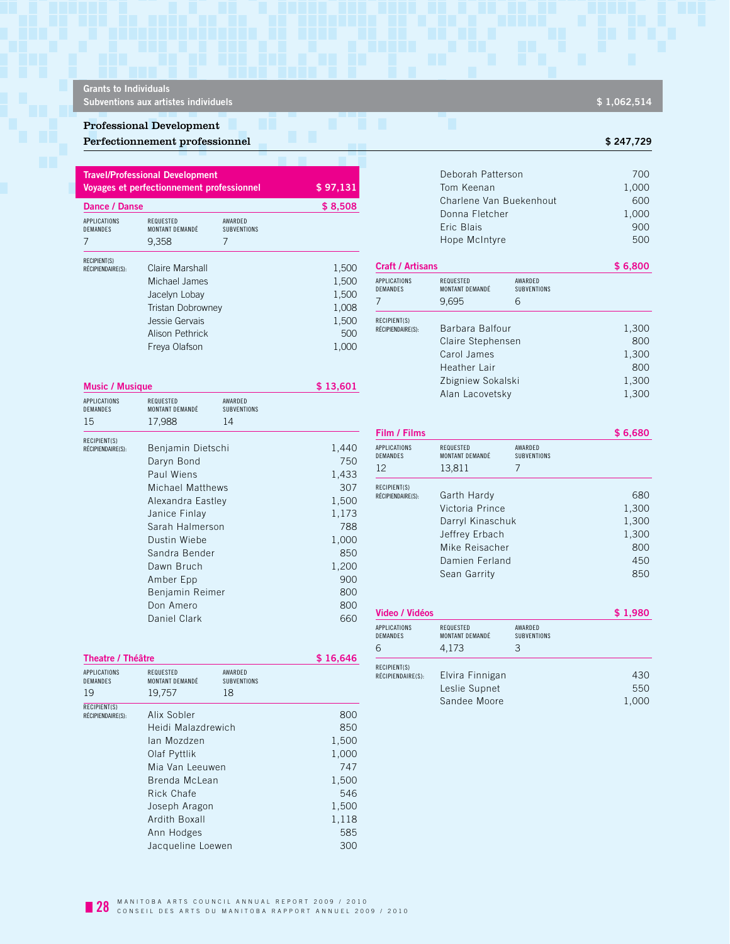**Grants to Individuals**

**Subventions aux artistes individuels Subventions aux artistes individuels 3 1,062,514** 

### Professional Development

### Perfectionnement professionnel **by the contract of the contract of the contract of the contract of the contract of the contract of the contract of the contract of the contract of the contract of the contract of the contrac**

|                                        | <b>Travel/Professional Development</b><br><b>Voyages et perfectionnement professionnel</b> |                               | \$97,131 |
|----------------------------------------|--------------------------------------------------------------------------------------------|-------------------------------|----------|
| Dance / Danse                          |                                                                                            |                               | \$8,508  |
| <b>APPLICATIONS</b><br><b>DEMANDES</b> | REQUESTED<br>MONTANT DEMANDÉ                                                               | AWARDED<br><b>SUBVENTIONS</b> |          |
| 7                                      | 9,358                                                                                      | 7                             |          |
| <b>RECIPIENT(S)</b>                    |                                                                                            |                               |          |
| RÉCIPIENDAIRE(S):                      | Claire Marshall                                                                            |                               | 1,500    |
|                                        | Michael James                                                                              |                               | 1,500    |
|                                        | Jacelyn Lobay                                                                              |                               | 1,500    |
|                                        | <b>Tristan Dobrowney</b>                                                                   |                               | 1,008    |
|                                        | Jessie Gervais                                                                             |                               | 1,500    |
|                                        | Alison Pethrick                                                                            |                               | 500      |
|                                        | Freya Olafson                                                                              |                               | 1.000    |

| RECIPIENT(S)<br>RÉCIPIENDAIRE(S):                  | Claire Marshall                                     |                        | 1,500                             | <b>Craft / Artisans</b>                                                                  |                                       |                                       | \$6,800 |
|----------------------------------------------------|-----------------------------------------------------|------------------------|-----------------------------------|------------------------------------------------------------------------------------------|---------------------------------------|---------------------------------------|---------|
|                                                    | Michael James<br>Jacelyn Lobay<br>Tristan Dobrowney |                        | 1,500<br>1,500<br>1,008           | APPLICATIONS<br>DEMANDES                                                                 | REQUESTED<br>MONTANT DEMANDÉ<br>9,695 | AWARDED<br><b>SUBVENTIONS</b><br>6    |         |
| Jessie Gervais<br>Alison Pethrick<br>Freya Olafson |                                                     | 1,500<br>500<br>1,000  | RECIPIENT(S)<br>RÉCIPIENDAIRE(S): | Barbara Balfour<br>Claire Stephensen<br>Carol James<br>Heather Lair<br>Zbigniew Sokalski |                                       | 1,300<br>800<br>1,300<br>800<br>1,300 |         |
| <b>Music / Musique</b>                             |                                                     | \$13,601               |                                   | Alan Lacovetsky                                                                          |                                       | 1,300                                 |         |
| <b>APPLICATIONS</b><br>DEMANDES                    | REQUESTED<br>MONTANT DEMANDÉ                        | AWARDED<br>SUBVENTIONS |                                   |                                                                                          |                                       |                                       |         |
| 15                                                 | 17 988                                              | 14                     |                                   |                                                                                          |                                       |                                       |         |

| 15                | 17,988<br>14            |       |
|-------------------|-------------------------|-------|
| RECIPIENT(S)      |                         |       |
| RÉCIPIENDAIRE(S): | Benjamin Dietschi       | 1,440 |
|                   | Daryn Bond              | 750   |
|                   | Paul Wiens              | 1,433 |
|                   | <b>Michael Matthews</b> | 307   |
|                   | Alexandra Eastley       | 1,500 |
|                   | Janice Finlay           | 1,173 |
|                   | Sarah Halmerson         | 788   |
|                   | Dustin Wiebe            | 1,000 |
|                   | Sandra Bender           | 850   |
|                   | Dawn Bruch              | 1,200 |
|                   | Amber Epp               | 900   |
|                   | Benjamin Reimer         | 800   |
|                   | Don Amero               | 800   |
|                   | Daniel Clark            | 660   |

| Film / Films                                 |                                                                                                                          |                                    | \$6,680                                             |
|----------------------------------------------|--------------------------------------------------------------------------------------------------------------------------|------------------------------------|-----------------------------------------------------|
| <b>APPLICATIONS</b><br><b>DEMANDES</b><br>12 | REQUESTED<br>MONTANT DEMANDÉ<br>13,811                                                                                   | AWARDED<br><b>SUBVENTIONS</b><br>7 |                                                     |
| RECIPIENT(S)<br>RÉCIPIENDAIRE(S):            | Garth Hardy<br>Victoria Prince<br>Darryl Kinaschuk<br>Jeffrey Erbach<br>Mike Reisacher<br>Damien Ferland<br>Sean Garrity |                                    | 680<br>1,300<br>1,300<br>1,300<br>800<br>450<br>850 |

| Video / Vidéos                       |                                       |                                    | \$1,980 |
|--------------------------------------|---------------------------------------|------------------------------------|---------|
| <b>APPLICATIONS</b><br>DEMANDES<br>6 | REQUESTED<br>MONTANT DEMANDÉ<br>4.173 | AWARDED<br><b>SUBVENTIONS</b><br>З |         |
| RECIPIENT(S)<br>RÉCIPIENDAIRE(S):    | Elvira Finnigan                       |                                    | 430     |
|                                      | Leslie Supnet                         |                                    | 550     |
|                                      | Sandee Moore                          |                                    | 1,000   |

| 19                                | 19.757<br>18       |       |
|-----------------------------------|--------------------|-------|
| RECIPIENT(S)<br>RÉCIPIENDAIRE(S): | Alix Sobler        | 800   |
|                                   | Heidi Malazdrewich | 850   |
|                                   | lan Mozdzen        | 1,500 |
|                                   | Olaf Pyttlik       | 1,000 |
|                                   | Mia Van Leeuwen    | 747   |
|                                   | Brenda McLean      | 1,500 |
|                                   | Rick Chafe         | 546   |
|                                   | Joseph Aragon      | 1,500 |
|                                   | Ardith Boxall      | 1,118 |
|                                   | Ann Hodges         | 585   |
|                                   | Jacqueline Loewen  | 300   |

Deborah Patterson 700 Tom Keenan 1,000 Charlene Van Buekenhout 600 Donna Fletcher 1,000 Eric Blais 900 Hope McIntyre 500

| <b>APPLICATIONS</b><br>DEMANDES   | REQUESTED<br>AWARDFD<br>MONTANT DEMANDÉ<br><b>SUBVENTIONS</b> |          |
|-----------------------------------|---------------------------------------------------------------|----------|
| Theatre / Théâtre                 |                                                               | \$16,646 |
|                                   | Daniel Clark                                                  | 660      |
|                                   | Don Amero                                                     | 800      |
|                                   | Benjamin Reimer                                               | 800      |
|                                   | Amber Epp                                                     | 900      |
|                                   | Dawn Bruch                                                    | 1,200    |
|                                   | Sandra Bender                                                 | 850      |
|                                   | Dustin Wiebe                                                  | 1,000    |
|                                   | Sarah Halmerson                                               | 788      |
|                                   | Janice Finlay                                                 | 1,173    |
|                                   | Alexandra Eastley                                             | 1,500    |
|                                   | Michael Matthews                                              | 307      |
|                                   | Paul Wiens                                                    | 1,433    |
|                                   | Daryn Bond                                                    | 750      |
| RECIPIENT(S)<br>RÉCIPIENDAIRE(S): | Benjamin Dietschi                                             | 1,440    |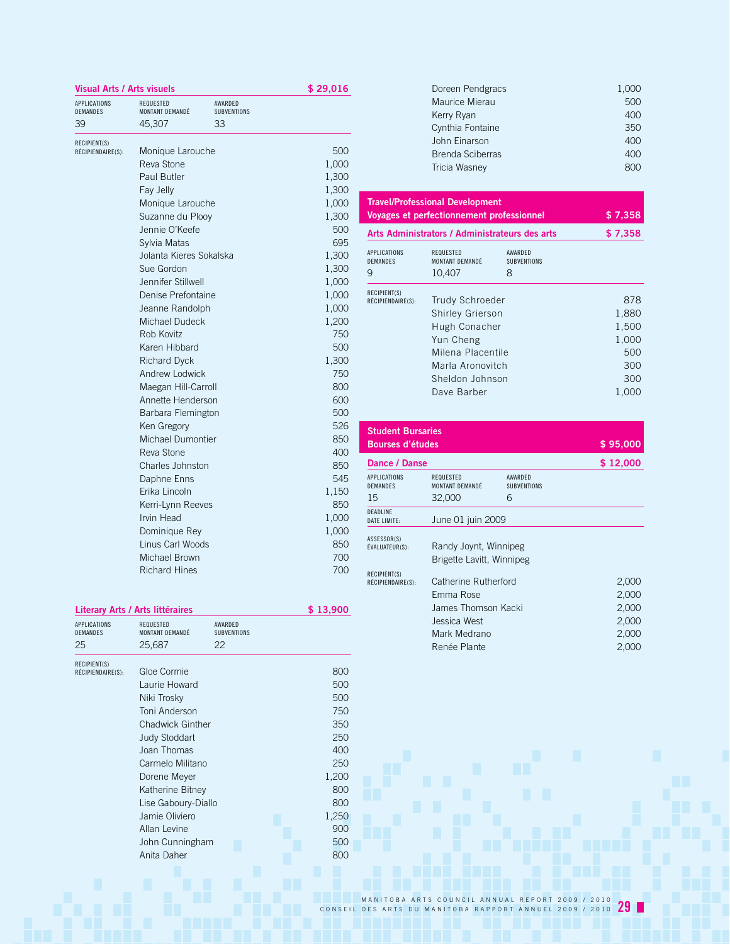|                          | <b>Visual Arts / Arts visuels</b> |                        | \$29,016 |
|--------------------------|-----------------------------------|------------------------|----------|
| APPLICATIONS<br>DEMANDES | REQUESTED<br>MONTANT DEMANDÉ      | AWARDED<br>SUBVENTIONS |          |
| 39                       | 45,307                            | 33                     |          |
| RECIPIENT(S)             |                                   |                        |          |
| RÉCIPIENDAIRE(S):        | Monique Larouche                  |                        | 500      |
|                          | Reva Stone                        |                        | 1,000    |
|                          | Paul Butler                       |                        | 1,300    |
|                          | Fay Jelly                         |                        | 1,300    |
|                          | Monique Larouche                  |                        | 1,000    |
|                          | Suzanne du Plooy                  |                        | 1,300    |
|                          | Jennie O'Keefe                    |                        | 500      |
|                          | Sylvia Matas                      |                        | 695      |
|                          | Jolanta Kieres Sokalska           |                        | 1,300    |
|                          | Sue Gordon                        |                        | 1,300    |
|                          | Jennifer Stillwell                |                        | 1,000    |
|                          | Denise Prefontaine                |                        | 1,000    |
|                          | Jeanne Randolph                   |                        | 1,000    |
|                          | Michael Dudeck                    |                        | 1,200    |
|                          | Rob Kovitz                        |                        | 750      |
|                          | Karen Hibbard                     |                        | 500      |
|                          | <b>Richard Dyck</b>               |                        | 1,300    |
|                          | Andrew Lodwick                    |                        | 750      |
|                          | Maegan Hill-Carroll               |                        | 800      |
|                          | Annette Henderson                 |                        | 600      |
|                          | Barbara Flemington                |                        | 500      |
|                          | Ken Gregory                       |                        | 526      |
|                          | Michael Dumontier                 |                        | 850      |
|                          | Reva Stone                        |                        | 400      |
|                          | Charles Johnston                  |                        | 850      |
|                          | Daphne Enns                       |                        | 545      |
|                          | Erika Lincoln                     |                        | 1,150    |
|                          | Kerri-Lynn Reeves                 |                        | 850      |
|                          | Irvin Head                        |                        | 1,000    |
|                          | Dominique Rey                     |                        | 1,000    |
|                          | Linus Carl Woods                  |                        | 850      |
|                          | Michael Brown                     |                        | 700      |
|                          | <b>Richard Hines</b>              |                        | 700      |
|                          |                                   |                        |          |

| Literary Arts / Arts littéraires             |                                     |                                     | \$13,900 |
|----------------------------------------------|-------------------------------------|-------------------------------------|----------|
| <b>APPLICATIONS</b><br><b>DEMANDES</b><br>25 | <b>REQUESTED</b><br>MONTANT DEMANDÉ | AWARDFD<br><b>SUBVENTIONS</b><br>22 |          |
|                                              | 25,687                              |                                     |          |
| RECIPIENT(S)                                 |                                     |                                     |          |
| RÉCIPIENDAIRE(S):                            | Gloe Cormie                         |                                     | 800      |
|                                              | Laurie Howard                       |                                     | 500      |
|                                              | Niki Trosky                         |                                     | 500      |
|                                              | Toni Anderson                       |                                     | 750      |
|                                              | <b>Chadwick Ginther</b>             |                                     | 350      |
|                                              | <b>Judy Stoddart</b>                |                                     | 250      |
|                                              | Joan Thomas                         |                                     | 400      |
|                                              | Carmelo Militano                    |                                     | 250      |
|                                              | Dorene Meyer                        |                                     | 1,200    |
|                                              | Katherine Bitney                    |                                     | 800      |
|                                              | Lise Gaboury-Diallo                 |                                     | 800      |
|                                              | Jamie Oliviero                      |                                     | 1,250    |
|                                              | Allan Levine                        |                                     | 900      |
|                                              | John Cunningham                     |                                     | 500      |
|                                              | Anita Daher                         |                                     | 800      |
|                                              |                                     |                                     |          |

| Doreen Pendgracs | 1,000 |
|------------------|-------|
| Maurice Mierau   | 500   |
| Kerry Ryan       | 400   |
| Cynthia Fontaine | 350   |
| John Einarson    | 400   |
| Brenda Sciberras | 400   |
| Tricia Wasney    |       |
|                  |       |

| <b>Travel/Professional Development</b><br>Voyages et perfectionnement professionnel |                                                                                                                                                            |                                    | \$7,358                                                      |
|-------------------------------------------------------------------------------------|------------------------------------------------------------------------------------------------------------------------------------------------------------|------------------------------------|--------------------------------------------------------------|
| Arts Administrators / Administrateurs des arts                                      |                                                                                                                                                            |                                    | \$7,358                                                      |
| <b>APPLICATIONS</b><br><b>DEMANDES</b><br>9                                         | <b>REQUESTED</b><br>MONTANT DEMANDÉ<br>10,407                                                                                                              | AWARDED<br><b>SUBVENTIONS</b><br>8 |                                                              |
| RECIPIENT(S)<br>RÉCIPIENDAIRE(S):                                                   | <b>Trudy Schroeder</b><br><b>Shirley Grierson</b><br>Hugh Conacher<br>Yun Cheng<br>Milena Placentile<br>Marla Aronovitch<br>Sheldon Johnson<br>Dave Barber |                                    | 878<br>1,880<br>1,500<br>1,000<br>500<br>300<br>300<br>1,000 |

| <b>Student Bursaries</b>               |                              |                               |          |
|----------------------------------------|------------------------------|-------------------------------|----------|
| <b>Bourses d'études</b>                |                              |                               | \$95,000 |
| Dance / Danse                          |                              |                               | \$12,000 |
| <b>APPLICATIONS</b><br><b>DEMANDES</b> | REQUESTED<br>MONTANT DEMANDÉ | AWARDFD<br><b>SUBVENTIONS</b> |          |
| 15                                     | 32,000                       | 6                             |          |
| <b>DEADLINE</b><br>DATE LIMITE:        | June 01 juin 2009            |                               |          |
| ASSESSOR(S)                            |                              |                               |          |
| ÉVALUATEUR(S):                         | Randy Joynt, Winnipeg        |                               |          |
|                                        | Brigette Lavitt, Winnipeg    |                               |          |
| RECIPIENT(S)<br>RÉCIPIENDAIRE(S):      | Catherine Rutherford         |                               | 2,000    |
|                                        | Emma Rose                    |                               | 2,000    |
|                                        | James Thomson Kacki          |                               | 2,000    |
|                                        | Jessica West                 |                               | 2,000    |
|                                        | Mark Medrano                 |                               | 2,000    |
|                                        | Renée Plante                 |                               | 2,000    |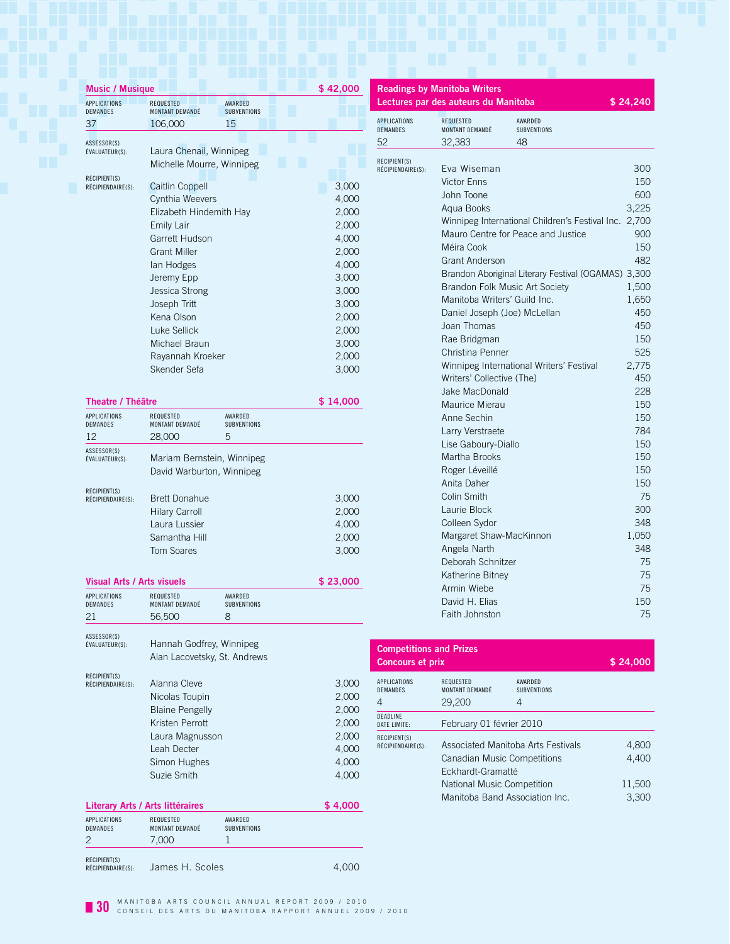| <b>Music / Musique</b>                 |                                     |                               | \$42,000 |  |
|----------------------------------------|-------------------------------------|-------------------------------|----------|--|
| <b>APPLICATIONS</b><br><b>DEMANDES</b> | <b>REQUESTED</b><br>MONTANT DEMANDÉ | AWARDED<br><b>SUBVENTIONS</b> |          |  |
| 37                                     | 106,000                             | 15                            |          |  |
|                                        |                                     |                               |          |  |
| ASSESSOR(S)<br>ÉVALUATEUR(S):          | Laura Chenail, Winnipeg             |                               |          |  |
|                                        | Michelle Mourre, Winnipeg           |                               |          |  |
| RECIPIENT(S)                           |                                     |                               |          |  |
| RÉCIPIENDAIRE(S):                      | <b>Caitlin Coppell</b>              |                               | 3,000    |  |
|                                        | Cynthia Weevers                     |                               | 4,000    |  |
|                                        | Elizabeth Hindemith Hay             |                               | 2,000    |  |
|                                        | Emily Lair                          |                               | 2,000    |  |
|                                        | Garrett Hudson                      |                               | 4,000    |  |
|                                        | <b>Grant Miller</b>                 |                               | 2,000    |  |
|                                        | lan Hodges                          |                               | 4,000    |  |
|                                        | Jeremy Epp                          |                               | 3,000    |  |
|                                        | Jessica Strong                      |                               | 3,000    |  |
|                                        | Joseph Tritt                        |                               | 3,000    |  |
|                                        | Kena Olson                          |                               | 2,000    |  |
|                                        | Luke Sellick                        |                               | 2,000    |  |
|                                        | Michael Braun                       |                               | 3,000    |  |
|                                        | Rayannah Kroeker                    |                               | 2,000    |  |
|                                        | Skender Sefa                        |                               | 3,000    |  |
|                                        |                                     |                               |          |  |
| Theatre / Théâtre                      |                                     |                               | \$14,000 |  |

| APPLICATIONS<br>DEMANDES<br>12    | REQUESTED<br>MONTANT DEMANDÉ<br>28,000                                                               | AWARDED<br><b>SUBVENTIONS</b><br>5 |                                           |
|-----------------------------------|------------------------------------------------------------------------------------------------------|------------------------------------|-------------------------------------------|
| ASSESSOR(S)<br>ÉVALUATEUR(S):     | Mariam Bernstein, Winnipeg<br>David Warburton, Winnipeg                                              |                                    |                                           |
| RECIPIENT(S)<br>RÉCIPIENDAIRE(S): | <b>Brett Donahue</b><br><b>Hilary Carroll</b><br>Laura Lussier<br>Samantha Hill<br><b>Tom Soares</b> |                                    | 3,000<br>2,000<br>4,000<br>2,000<br>3,000 |

| Visual Arts / Arts visuels             |                                     |                               | \$23,000 |
|----------------------------------------|-------------------------------------|-------------------------------|----------|
| <b>APPLICATIONS</b><br><b>DEMANDES</b> | <b>REQUESTED</b><br>MONTANT DEMANDÉ | AWARDED<br><b>SUBVENTIONS</b> |          |
| 21                                     | 56,500                              | 8                             |          |
| ASSESSOR(S)                            |                                     |                               |          |
| ÉVALUATEUR(S):                         | Hannah Godfrey, Winnipeg            |                               |          |
|                                        | Alan Lacovetsky, St. Andrews        |                               |          |
| RECIPIENT(S)                           | Alanna Cleve                        |                               | 3,000    |
| RÉCIPIENDAIRE(S):                      |                                     |                               |          |
|                                        | Nicolas Toupin                      |                               | 2,000    |
|                                        | <b>Blaine Pengelly</b>              |                               | 2,000    |
|                                        | Kristen Perrott                     |                               | 2,000    |
|                                        | Laura Magnusson                     |                               | 2,000    |
|                                        | Leah Decter                         |                               | 4,000    |
|                                        | Simon Hughes                        |                               | 4,000    |
|                                        | Suzie Smith                         |                               | 4,000    |
|                                        | Literary Arts / Arts littéraires    |                               | \$4,000  |
| <b>APPLICATIONS</b>                    | <b>REQUESTED</b>                    | AWARDED                       |          |
| <b>DEMANDES</b>                        | MONTANT DEMANDÉ                     | SUBVENTIONS                   |          |
| 2                                      | 7,000                               | 1                             |          |
| RECIPIENT(S)<br>RÉCIPIENDAIRE(S):      | James H. Scoles                     |                               | 4,000    |

|                                              | <b>Readings by Manitoba Writers</b><br>Lectures par des auteurs du Manitoba |                                                     | \$24,240  |
|----------------------------------------------|-----------------------------------------------------------------------------|-----------------------------------------------------|-----------|
| <b>APPLICATIONS</b><br><b>DEMANDES</b><br>52 | <b>REQUESTED</b><br>MONTANT DEMANDÉ<br>32,383                               | AWARDED<br>SUBVENTIONS<br>48                        |           |
| RECIPIENT(S)                                 |                                                                             |                                                     |           |
| RÉCIPIENDAIRE(S):                            | Eva Wiseman                                                                 |                                                     | 300       |
|                                              | <b>Victor Enns</b>                                                          |                                                     | 150       |
|                                              | John Toone                                                                  |                                                     | 600       |
|                                              | Agua Books                                                                  |                                                     | 3,225     |
|                                              |                                                                             | Winnipeg International Children's Festival Inc.     | 2,700     |
|                                              |                                                                             | Mauro Centre for Peace and Justice                  | 900       |
|                                              | Méira Cook                                                                  |                                                     | 150       |
|                                              | <b>Grant Anderson</b>                                                       |                                                     | 482       |
|                                              |                                                                             | Brandon Aboriginal Literary Festival (OGAMAS) 3,300 |           |
|                                              | Brandon Folk Music Art Society                                              |                                                     | 1,500     |
|                                              | Manitoba Writers' Guild Inc.                                                |                                                     | 1,650     |
|                                              | Daniel Joseph (Joe) McLellan                                                |                                                     | 450       |
|                                              | Joan Thomas                                                                 |                                                     | 450       |
|                                              | Rae Bridgman                                                                |                                                     | 150       |
|                                              | Christina Penner                                                            |                                                     | 525       |
|                                              |                                                                             | Winnipeg International Writers' Festival            | 2,775     |
|                                              | Writers' Collective (The)                                                   |                                                     | 450       |
|                                              | Jake MacDonald                                                              |                                                     | 228       |
|                                              | Maurice Mierau                                                              |                                                     | 150       |
|                                              | Anne Sechin                                                                 |                                                     | 150       |
|                                              | Larry Verstraete                                                            |                                                     | 784       |
|                                              | Lise Gaboury-Diallo                                                         |                                                     | 150       |
|                                              | Martha Brooks                                                               |                                                     | 150       |
|                                              | Roger Léveillé                                                              |                                                     | 150       |
|                                              | Anita Daher                                                                 |                                                     | 150       |
|                                              | Colin Smith                                                                 |                                                     | 75        |
|                                              | Laurie Block                                                                |                                                     | 300       |
|                                              | Colleen Sydor                                                               |                                                     | 348       |
|                                              | Margaret Shaw-MacKinnon                                                     |                                                     | 1,050     |
|                                              | Angela Narth                                                                |                                                     | 348       |
|                                              | Deborah Schnitzer                                                           |                                                     | 75        |
|                                              | Katherine Bitnev                                                            |                                                     | 75        |
|                                              | Armin Wiebe<br>David H. Elias                                               |                                                     | 75<br>150 |
|                                              |                                                                             |                                                     |           |
|                                              | Faith Johnston                                                              |                                                     | 75        |

| <b>Competitions and Prizes</b><br><b>Concours et prix</b> |                                                                                                                                                        |                                    | \$24,000                          |
|-----------------------------------------------------------|--------------------------------------------------------------------------------------------------------------------------------------------------------|------------------------------------|-----------------------------------|
| APPLICATIONS<br><b>DEMANDES</b><br>4                      | REQUESTED<br>MONTANT DEMANDÉ<br>29,200                                                                                                                 | AWARDED<br><b>SUBVENTIONS</b><br>4 |                                   |
| <b>DEADLINE</b><br>DATE LIMITE:                           | February 01 février 2010                                                                                                                               |                                    |                                   |
| RECIPIENT(S)<br>RÉCIPIENDAIRE(S):                         | Associated Manitoba Arts Festivals<br>Canadian Music Competitions<br>Eckhardt-Gramatté<br>National Music Competition<br>Manitoba Band Association Inc. |                                    | 4,800<br>4.400<br>11,500<br>3.300 |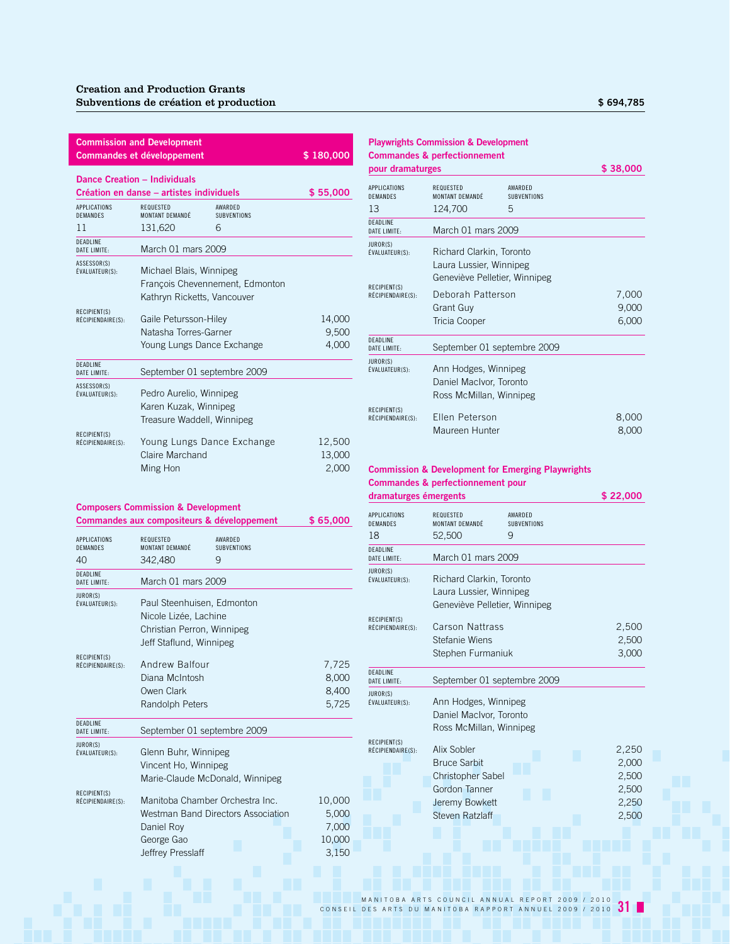| <b>Commission and Development</b><br>\$180,000<br><b>Commandes et développement</b> |                                                            |                               |                           |  |  |
|-------------------------------------------------------------------------------------|------------------------------------------------------------|-------------------------------|---------------------------|--|--|
|                                                                                     | Dance Creation - Individuals                               |                               |                           |  |  |
|                                                                                     | Création en danse - artistes individuels                   |                               | \$55,000                  |  |  |
| APPLICATIONS<br><b>DEMANDES</b>                                                     | REQUESTED<br>MONTANT DEMANDÉ                               | AWARDED<br><b>SUBVENTIONS</b> |                           |  |  |
| 11                                                                                  | 131,620                                                    | 6                             |                           |  |  |
| <b>DEADLINE</b><br>DATE LIMITE:                                                     | March 01 mars 2009                                         |                               |                           |  |  |
| ASSESSOR(S)<br>ÉVALUATEUR(S):                                                       | Michael Blais, Winnipeg<br>François Chevennement, Edmonton |                               |                           |  |  |
|                                                                                     | Kathryn Ricketts, Vancouver                                |                               |                           |  |  |
| RECIPIENT(S)<br>RÉCIPIENDAIRE(S):                                                   | Gaile Petursson-Hiley                                      |                               | 14,000                    |  |  |
|                                                                                     | Natasha Torres-Garner                                      |                               | 9,500                     |  |  |
|                                                                                     | Young Lungs Dance Exchange                                 |                               | 4,000                     |  |  |
| <b>DEADLINE</b><br>DATE LIMITE:                                                     | September 01 septembre 2009                                |                               |                           |  |  |
| ASSESSOR(S)<br>ÉVALUATEUR(S):                                                       | Pedro Aurelio, Winnipeg                                    |                               |                           |  |  |
|                                                                                     | Karen Kuzak, Winnipeg                                      |                               |                           |  |  |
|                                                                                     | Treasure Waddell, Winnipeg                                 |                               |                           |  |  |
| RECIPIENT(S)<br>RÉCIPIENDAIRE(S):                                                   | Young Lungs Dance Exchange<br>Claire Marchand<br>Ming Hon  |                               | 12,500<br>13,000<br>2,000 |  |  |

### **Composers Commission & Development**

**Commandes aux compositeurs & développement \$ 65,000**

| <b>APPLICATIONS</b><br><b>DEMANDES</b><br>40 | REQUESTED<br>MONTANT DEMANDÉ<br>342,480                                                                      | AWARDED<br><b>SUBVENTIONS</b><br>9                                    |                                             |
|----------------------------------------------|--------------------------------------------------------------------------------------------------------------|-----------------------------------------------------------------------|---------------------------------------------|
| DEADLINE<br>DATE LIMITE:                     | March 01 mars 2009                                                                                           |                                                                       |                                             |
| JUROR(S)<br>ÉVALUATEUR(S):                   | Paul Steenhuisen, Edmonton<br>Nicole Lizée, Lachine<br>Christian Perron, Winnipeg<br>Jeff Staflund, Winnipeg |                                                                       |                                             |
| RECIPIENT(S)<br>RÉCIPIENDAIRE(S):            | Andrew Balfour<br>Diana McIntosh<br>Owen Clark<br>Randolph Peters                                            |                                                                       | 7,725<br>8,000<br>8,400<br>5,725            |
| DEADLINE<br>DATE LIMITE:                     | September 01 septembre 2009                                                                                  |                                                                       |                                             |
| JUROR(S)<br>ÉVALUATEUR(S):                   | Glenn Buhr, Winnipeg<br>Vincent Ho, Winnipeg                                                                 | Marie-Claude McDonald, Winnipeg                                       |                                             |
| RECIPIENT(S)<br>RÉCIPIENDAIRE(S):            | Daniel Roy<br>George Gao<br>Jeffrev Presslaff                                                                | Manitoba Chamber Orchestra Inc.<br>Westman Band Directors Association | 10,000<br>5,000<br>7,000<br>10,000<br>3.150 |

### **Playwrights Commission & Development Commandes & perfectionnement**

| pour dramaturges                       |                                                                                      |                               | \$38,000       |
|----------------------------------------|--------------------------------------------------------------------------------------|-------------------------------|----------------|
| <b>APPLICATIONS</b><br><b>DEMANDES</b> | <b>REQUESTED</b><br>MONTANT DEMANDÉ                                                  | AWARDED<br><b>SUBVENTIONS</b> |                |
| 13                                     | 124,700                                                                              | 5                             |                |
| DEADLINE<br>DATF I IMITF:              | March 01 mars 2009                                                                   |                               |                |
| JUROR(S)<br>ÉVALUATEUR(S):             | Richard Clarkin, Toronto<br>Laura Lussier, Winnipeg<br>Geneviève Pelletier, Winnipeg |                               |                |
| RECIPIENT(S)<br>RÉCIPIENDAIRE(S):      | Deborah Patterson                                                                    |                               | 7,000          |
|                                        | <b>Grant Guy</b>                                                                     |                               | 9,000          |
|                                        | Tricia Cooper                                                                        |                               | 6,000          |
| <b>DEADLINE</b><br>DATF I IMITF:       |                                                                                      | September 01 septembre 2009   |                |
| JUROR(S)<br>ÉVALUATEUR(S):             | Ann Hodges, Winnipeg<br>Daniel MacIvor, Toronto<br>Ross McMillan, Winnipeg           |                               |                |
| RECIPIENT(S)<br>RÉCIPIENDAIRE(S):      | Ellen Peterson<br>Maureen Hunter                                                     |                               | 8,000<br>8,000 |

### **Commission & Development for Emerging Playwrights Commandes & perfectionnement pour**

| dramaturges émergents                  |                                                                                                                      |                               | \$ 22,000                                          |
|----------------------------------------|----------------------------------------------------------------------------------------------------------------------|-------------------------------|----------------------------------------------------|
| <b>APPLICATIONS</b><br><b>DEMANDES</b> | REQUESTED<br>MONTANT DEMANDÉ                                                                                         | AWARDED<br><b>SUBVENTIONS</b> |                                                    |
| 18                                     | 52,500                                                                                                               | 9                             |                                                    |
| <b>DEADLINE</b><br>DATE LIMITE:        | March 01 mars 2009                                                                                                   |                               |                                                    |
| JUROR(S)<br>ÉVALUATEUR(S):             | Richard Clarkin, Toronto<br>Laura Lussier, Winnipeg<br>Geneviève Pelletier, Winnipeg                                 |                               |                                                    |
| RECIPIENT(S)<br>RÉCIPIENDAIRE(S):      | Carson Nattrass<br>Stefanie Wiens<br>Stephen Furmaniuk                                                               |                               | 2,500<br>2,500<br>3,000                            |
| DEADLINE<br>DATE LIMITE:               | September 01 septembre 2009                                                                                          |                               |                                                    |
| JUROR(S)<br>ÉVALUATEUR(S):             | Ann Hodges, Winnipeg<br>Daniel MacIvor, Toronto<br>Ross McMillan, Winnipeg                                           |                               |                                                    |
| RECIPIENT(S)<br>RÉCIPIENDAIRE(S):      | Alix Sobler<br><b>Bruce Sarbit</b><br><b>Christopher Sabel</b><br>Gordon Tanner<br>Jeremy Bowkett<br>Steven Ratzlaff |                               | 2,250<br>2,000<br>2,500<br>2,500<br>2,250<br>2,500 |
|                                        |                                                                                                                      |                               |                                                    |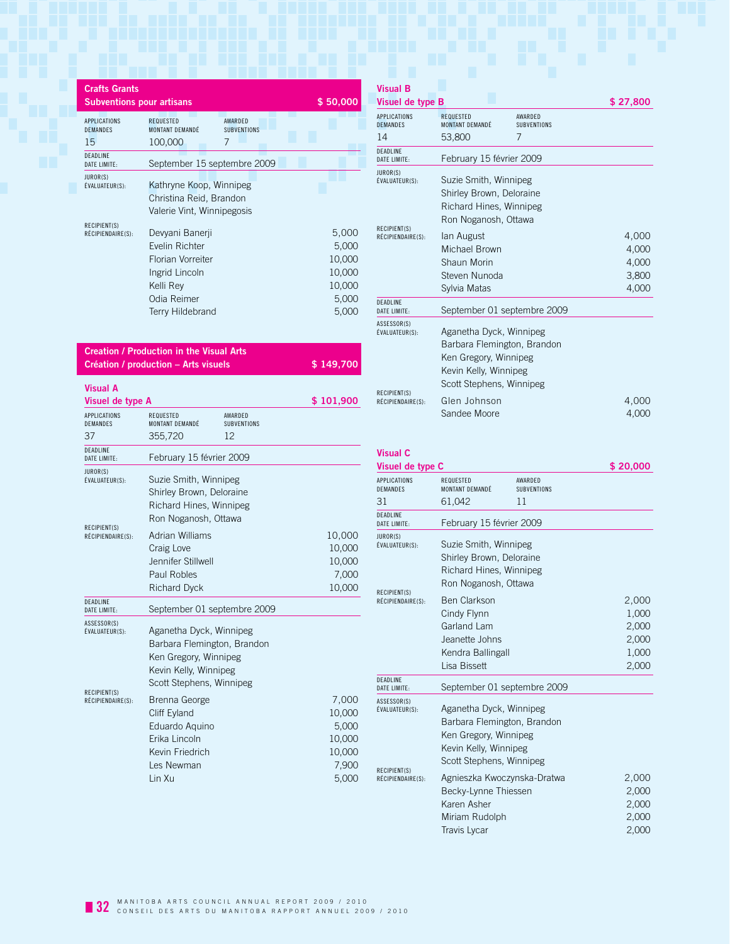| <b>Crafts Grants</b><br><b>Subventions pour artisans</b> |                                                                                                                                 | \$50,000                                                       |
|----------------------------------------------------------|---------------------------------------------------------------------------------------------------------------------------------|----------------------------------------------------------------|
| <b>APPLICATIONS</b><br><b>DEMANDES</b><br>15             | <b>AWARDED</b><br><b>REQUESTED</b><br>MONTANT DEMANDÉ<br><b>SUBVENTIONS</b><br>7<br>100,000                                     |                                                                |
| <b>DEADLINE</b><br>DATE LIMITE:                          | September 15 septembre 2009                                                                                                     |                                                                |
| JUROR(S)<br>ÉVALUATEUR(S):                               | Kathryne Koop, Winnipeg<br>Christina Reid, Brandon<br>Valerie Vint, Winnipegosis                                                |                                                                |
| <b>RECIPIENT(S)</b><br>RÉCIPIENDAIRE(S):                 | Devyani Banerji<br>Evelin Richter<br><b>Florian Vorreiter</b><br>Ingrid Lincoln<br>Kelli Rev<br>Odia Reimer<br>Terry Hildebrand | 5,000<br>5,000<br>10,000<br>10,000<br>10,000<br>5,000<br>5,000 |

| <b>Creation / Production in the Visual Arts</b> |           |
|-------------------------------------------------|-----------|
| Création / production - Arts visuels            | \$149.700 |

| Visual A                                                           |                                                                                                                                                                                                                                                     |                                     |                                                                |
|--------------------------------------------------------------------|-----------------------------------------------------------------------------------------------------------------------------------------------------------------------------------------------------------------------------------------------------|-------------------------------------|----------------------------------------------------------------|
| Visuel de type A                                                   |                                                                                                                                                                                                                                                     |                                     | \$101,900                                                      |
| <b>APPLICATIONS</b><br><b>DEMANDES</b><br>37                       | REQUESTED<br>MONTANT DEMANDÉ<br>355,720                                                                                                                                                                                                             | AWARDED<br><b>SUBVENTIONS</b><br>12 |                                                                |
| DEADLINE                                                           |                                                                                                                                                                                                                                                     |                                     |                                                                |
| DATE LIMITE:                                                       | February 15 février 2009                                                                                                                                                                                                                            |                                     |                                                                |
| JUROR(S)<br>ÉVALUATEUR(S):                                         | Suzie Smith, Winnipeg<br>Shirley Brown, Deloraine<br>Richard Hines, Winnipeg<br>Ron Noganosh, Ottawa                                                                                                                                                |                                     |                                                                |
| RECIPIENT(S)<br>RÉCIPIENDAIRE(S):                                  | <b>Adrian Williams</b>                                                                                                                                                                                                                              |                                     | 10,000                                                         |
|                                                                    | Craig Love                                                                                                                                                                                                                                          |                                     | 10,000                                                         |
|                                                                    | Jennifer Stillwell                                                                                                                                                                                                                                  |                                     | 10,000                                                         |
|                                                                    | <b>Paul Robles</b>                                                                                                                                                                                                                                  |                                     | 7,000                                                          |
|                                                                    | <b>Richard Dyck</b>                                                                                                                                                                                                                                 |                                     | 10,000                                                         |
| DEADLINE<br>DATE LIMITE:                                           | September 01 septembre 2009                                                                                                                                                                                                                         |                                     |                                                                |
| ASSESSOR(S)<br>ÉVALUATEUR(S):<br>RECIPIENT(S)<br>RÉCIPIENDAIRE(S): | Aganetha Dyck, Winnipeg<br>Barbara Flemington, Brandon<br>Ken Gregory, Winnipeg<br>Kevin Kelly, Winnipeg<br>Scott Stephens, Winnipeg<br>Brenna George<br>Cliff Eyland<br>Eduardo Aguino<br>Erika Lincoln<br>Kevin Friedrich<br>Les Newman<br>Lin Xu |                                     | 7,000<br>10,000<br>5,000<br>10,000<br>10,000<br>7,900<br>5,000 |
|                                                                    |                                                                                                                                                                                                                                                     |                                     |                                                                |

### **Visual B Visuel de type B**  $$27,800$ APPLICATIONS REQUESTED AWARDED<br>DEMANDES MONTANT DEMANDÉ SUBVENTIONS MONTANT DEMANDÉ 14 53,800 7 DEADLINE<br>DATE LIMITE: February 15 février 2009 JUROR(S)<br>ÉVALUATEUR(S): Suzie Smith, Winnipeg Shirley Brown, Deloraine Richard Hines, Winnipeg Ron Noganosh, Ottawa RECIPIENT(S)<br>RÉCIPIENDAIRE(S): lan August 4,000 + 4,000 + 4,000 + 4,000 + 4,000 + 4,000 + 4,000 + 4,000 + 4,000 + 4,000 + 4,000 + 4,000 + 4,000 + 4,000 + 4,000 + 4,000 + 4,000 + 4,000 + 4,000 + + + + + + + + + + + + + + + Michael Brown 4,000 Shaun Morin 4,000 Steven Nunoda<br>
3,800 Sylvia Matas 4,000 DEADLINE<br>DATE LIMITE: September 01 septembre 2009 ASSESSOR(S)<br>ÉVALUATEUR(S): Aganetha Dyck, Winnipeg Barbara Flemington, Brandon Ken Gregory, Winnipeg Kevin Kelly, Winnipeg Scott Stephens, Winnipeg RECIPIENT(S)<br>RÉCIPIENDAIRE(S): Recipential Recipential Communication of the ACOO 4,000 ACC 4,000 ACC 4,000 ACC 4,000 ACC 4,000 ACC 4,000 ACC 4,000 ACC 4,000 ACC 4,000 ACC 4,000 ACC 4,000 ACC 4,000 ACC 4,000 ACC 4,000 ACC 4,000 ACC 4,000 ACC 4,000 ACC 4, Sandee Moore 4,000

| Visuel de type C<br><b>APPLICATIONS</b> | REQUESTED                                                                                                                            | AWARDED                     | \$20,000                                  |
|-----------------------------------------|--------------------------------------------------------------------------------------------------------------------------------------|-----------------------------|-------------------------------------------|
| <b>DEMANDES</b>                         | MONTANT DEMANDÉ                                                                                                                      | <b>SUBVENTIONS</b>          |                                           |
| 31                                      | 61,042                                                                                                                               | 11                          |                                           |
| DEADLINE<br>DATE LIMITE:                | February 15 février 2009                                                                                                             |                             |                                           |
| JUROR(S)<br><b>ÉVALUATEUR(S):</b>       | Suzie Smith, Winnipeg<br>Shirley Brown, Deloraine<br>Richard Hines, Winnipeg<br>Ron Noganosh, Ottawa                                 |                             |                                           |
| RECIPIENT(S)<br>RÉCIPIENDAIRE(S):       | <b>Ben Clarkson</b><br>Cindy Flynn<br>Garland Lam<br>Jeanette Johns<br>Kendra Ballingall                                             |                             | 2,000<br>1,000<br>2,000<br>2,000<br>1,000 |
|                                         | Lisa Bissett                                                                                                                         |                             | 2,000                                     |
| DEADLINE<br>DATE LIMITE:                |                                                                                                                                      | September 01 septembre 2009 |                                           |
| ASSESSOR(S)<br>ÉVALUATEUR(S):           | Aganetha Dyck, Winnipeg<br>Barbara Flemington, Brandon<br>Ken Gregory, Winnipeg<br>Kevin Kelly, Winnipeg<br>Scott Stephens, Winnipeg |                             |                                           |
| RECIPIENT(S)<br>RÉCIPIENDAIRE(S):       | Agnieszka Kwoczynska-Dratwa<br>Becky-Lynne Thiessen<br>Karen Asher<br>Miriam Rudolph<br>Travis Lycar                                 |                             | 2,000<br>2,000<br>2,000<br>2,000<br>2,000 |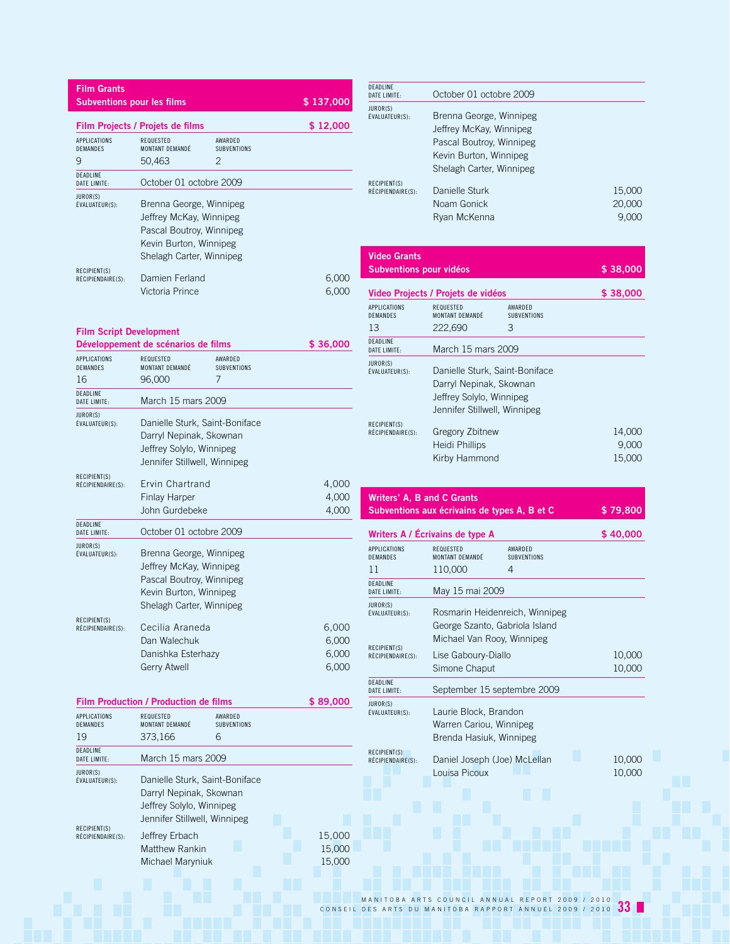| <b>Film Grants</b><br><b>Subventions pour les films</b> |                                                                                                                                      |                        | \$137,000                        |
|---------------------------------------------------------|--------------------------------------------------------------------------------------------------------------------------------------|------------------------|----------------------------------|
|                                                         | Film Projects / Projets de films                                                                                                     |                        | \$12,000                         |
| <b>APPLICATIONS</b><br>DEMANDES<br>9                    | REQUESTED<br>MONTANT DEMANDÉ<br>2<br>50,463                                                                                          | AWARDED<br>SUBVENTIONS |                                  |
| DEADLINE<br>DATE LIMITE:                                | October 01 octobre 2009                                                                                                              |                        |                                  |
| JUROR(S)<br>ÉVALUATEUR(S):                              | Brenna George, Winnipeg<br>Jeffrey McKay, Winnipeg<br>Pascal Boutroy, Winnipeg<br>Kevin Burton, Winnipeg<br>Shelagh Carter, Winnipeg |                        |                                  |
| RECIPIENT(S)<br>RÉCIPIENDAIRE(S):                       | Damien Ferland<br>Victoria Prince                                                                                                    |                        | 6,000<br>6,000                   |
| <b>Film Script Development</b>                          | Développement de scénarios de films                                                                                                  |                        | \$36,000                         |
| <b>APPLICATIONS</b><br>DEMANDES<br>16                   | REQUESTED<br>MONTANT DEMANDÉ<br>7<br>96.000                                                                                          | AWARDED<br>SUBVENTIONS |                                  |
| DEADLINE<br>DATE LIMITE:                                | March 15 mars 2009                                                                                                                   |                        |                                  |
| JUROR(S)<br>ÉVALUATEUR(S):                              | Danielle Sturk, Saint-Boniface<br>Darryl Nepinak, Skownan<br>Jeffrey Solylo, Winnipeg<br>Jennifer Stillwell, Winnipeg                |                        |                                  |
| RECIPIENT(S)<br>RÉCIPIENDAIRE(S):                       | Ervin Chartrand<br><b>Finlay Harper</b><br>John Gurdebeke                                                                            |                        | 4,000<br>4,000<br>4,000          |
| DEADLINE<br>DATE LIMITE:                                | October 01 octobre 2009                                                                                                              |                        |                                  |
| JUROR(S)<br>ÉVALUATEUR(S):<br>RECIPIENT(S)              | Brenna George, Winnipeg<br>Jeffrey McKay, Winnipeg<br>Pascal Boutroy, Winnipeg<br>Kevin Burton, Winnipeg<br>Shelagh Carter, Winnipeg |                        |                                  |
| RÉCIPIENDAIRE(S):                                       | Cecilia Araneda<br>Dan Walechuk<br>Danishka Esterhazy<br><b>Gerry Atwell</b>                                                         |                        | 6,000<br>6,000<br>6,000<br>6,000 |
|                                                         | Film Production / Production de films                                                                                                |                        | \$89,000                         |
| <b>APPLICATIONS</b><br>DEMANDES<br>19                   | REQUESTED<br>MONTANT DEMANDÉ<br>373,166<br>6                                                                                         | AWARDED<br>SUBVENTIONS |                                  |
| DEADLINE<br>DATE LIMITE:                                | March 15 mars 2009                                                                                                                   |                        |                                  |
| JUROR(S)<br>ÉVALUATEUR(S):                              | Danielle Sturk, Saint-Boniface<br>Darryl Nepinak, Skownan<br>Jeffrey Solylo, Winnipeg<br>Jennifer Stillwell, Winnipeg                |                        |                                  |
| RECIPIENT(S)<br>RÉCIPIENDAIRE(S):                       | Jeffrey Erbach<br><b>Matthew Rankin</b><br>Michael Maryniuk                                                                          |                        | 15,000<br>15,000<br>15,000       |
|                                                         |                                                                                                                                      |                        |                                  |

| <b>DEADLINE</b><br>DATE LIMITE:   | October 01 octobre 2009                                                                                                              |                           |
|-----------------------------------|--------------------------------------------------------------------------------------------------------------------------------------|---------------------------|
| JUROR(S)<br>ÉVALUATEUR(S):        | Brenna George, Winnipeg<br>Jeffrey McKay, Winnipeg<br>Pascal Boutroy, Winnipeg<br>Kevin Burton, Winnipeg<br>Shelagh Carter, Winnipeg |                           |
| RECIPIENT(S)<br>RÉCIPIENDAIRE(S): | Danielle Sturk<br>Noam Gonick<br>Ryan McKenna                                                                                        | 15,000<br>20,000<br>9.000 |

| <b>Video Grants</b>     |  |
|-------------------------|--|
| Subventions pour vidéos |  |
|                         |  |

|                                   | Video Projects / Projets de vidéos                                                                                    |                               | \$38,000                  |
|-----------------------------------|-----------------------------------------------------------------------------------------------------------------------|-------------------------------|---------------------------|
| APPLICATIONS<br>DEMANDES          | REQUESTED<br>MONTANT DEMANDÉ                                                                                          | AWARDED<br><b>SUBVENTIONS</b> |                           |
| 13                                | 222,690                                                                                                               | З                             |                           |
| DEADLINE<br>DATE LIMITE:          | March 15 mars 2009                                                                                                    |                               |                           |
| JUROR(S)<br>ÉVALUATEUR(S):        | Danielle Sturk, Saint-Boniface<br>Darryl Nepinak, Skownan<br>Jeffrey Solylo, Winnipeg<br>Jennifer Stillwell, Winnipeg |                               |                           |
| RECIPIENT(S)<br>RÉCIPIENDAIRE(S): | Gregory Zbitnew<br>Heidi Phillips<br>Kirby Hammond                                                                    |                               | 14,000<br>9,000<br>15,000 |

\$ 38,000

| Writers' A. B and C Grants<br>Subventions aux écrivains de types A. B et C | \$79,800 |
|----------------------------------------------------------------------------|----------|
| Writers A / Écrivains de type A                                            | \$40,000 |

| <b>APPLICATIONS</b><br>DEMANDES   | REQUESTED<br>MONTANT DEMANDÉ                                                | AWARDED<br>SUBVENTIONS         |                  |
|-----------------------------------|-----------------------------------------------------------------------------|--------------------------------|------------------|
| 11                                | 110,000                                                                     | 4                              |                  |
| DEADLINE<br>DATE LIMITE:          | May 15 mai 2009                                                             |                                |                  |
| JUROR(S)<br>ÉVALUATEUR(S):        | George Szanto, Gabriola Island<br>Michael Van Rooy, Winnipeg                | Rosmarin Heidenreich, Winnipeg |                  |
| RECIPIENT(S)<br>RÉCIPIENDAIRE(S): | Lise Gaboury-Diallo<br>Simone Chaput                                        |                                | 10,000<br>10,000 |
| DEADLINE<br>DATE LIMITE:          | September 15 septembre 2009                                                 |                                |                  |
| JUROR(S)<br>ÉVALUATEUR(S):        | Laurie Block, Brandon<br>Warren Cariou, Winnipeg<br>Brenda Hasiuk, Winnipeg |                                |                  |
| RECIPIENT(S)<br>RÉCIPIENDAIRE(S): | Daniel Joseph (Joe) McLellan<br>Louisa Picoux                               |                                | 10,000<br>10,000 |
|                                   |                                                                             |                                |                  |
|                                   |                                                                             |                                |                  |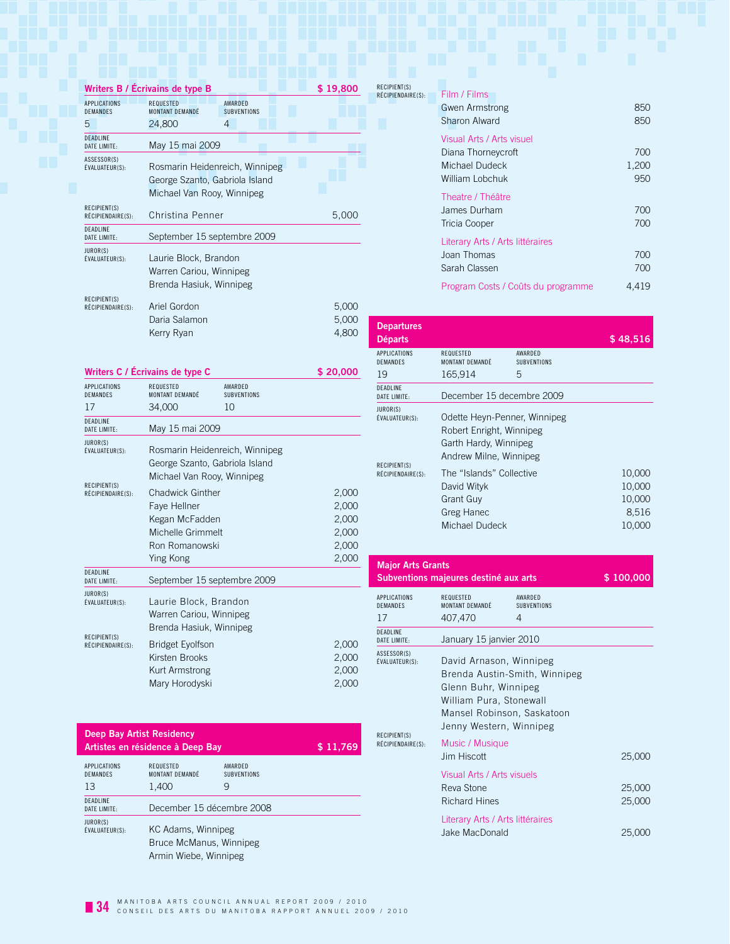|                                        | Writers B / Écrivains de type B                                                                | <b>RE</b><br>\$19,800<br>RÉ  |
|----------------------------------------|------------------------------------------------------------------------------------------------|------------------------------|
| <b>APPLICATIONS</b><br><b>DEMANDES</b> | <b>REQUESTED</b><br><b>AWARDFD</b><br>MONTANT DEMANDÉ<br><b>SUBVENTIONS</b>                    |                              |
| 5                                      | 24,800<br>4                                                                                    |                              |
| <b>DEADLINE</b><br>DATE LIMITE:        | May 15 mai 2009                                                                                |                              |
| ASSESSOR(S)<br>ÉVALUATEUR(S):          | Rosmarin Heidenreich, Winnipeg<br>George Szanto, Gabriola Island<br>Michael Van Rooy, Winnipeg |                              |
| RECIPIENT(S)<br>RÉCIPIENDAIRE(S):      | Christina Penner                                                                               | 5,000                        |
| <b>DEADLINE</b><br>DATE LIMITE:        | September 15 septembre 2009                                                                    |                              |
| JUROR(S)<br>ÉVALUATEUR(S):             | Laurie Block, Brandon<br>Warren Cariou, Winnipeg<br>Brenda Hasiuk, Winnipeg                    |                              |
| RECIPIENT(S)<br>RÉCIPIENDAIRE(S):      | Ariel Gordon<br>Daria Salamon<br>Kerry Ryan                                                    | 5,000<br>5,000<br>D<br>4,800 |

|                                        | Writers C / Écrivains de type C                                                                               |                               | \$20,000                                           |
|----------------------------------------|---------------------------------------------------------------------------------------------------------------|-------------------------------|----------------------------------------------------|
| <b>APPLICATIONS</b><br><b>DEMANDES</b> | REQUESTED<br>MONTANT DFMANDÉ                                                                                  | AWARDED<br><b>SUBVENTIONS</b> |                                                    |
| 17                                     | 34,000                                                                                                        | 10                            |                                                    |
| <b>DEADLINE</b><br>DATE LIMITE:        | May 15 mai 2009                                                                                               |                               |                                                    |
| JUROR(S)<br>ÉVALUATEUR(S):             | Rosmarin Heidenreich, Winnipeg<br>George Szanto, Gabriola Island<br>Michael Van Rooy, Winnipeg                |                               |                                                    |
| RECIPIENT(S)<br>RÉCIPIENDAIRE(S):      | <b>Chadwick Ginther</b><br>Faye Hellner<br>Kegan McFadden<br>Michelle Grimmelt<br>Ron Romanowski<br>Ying Kong |                               | 2,000<br>2,000<br>2,000<br>2,000<br>2,000<br>2,000 |
| <b>DEADLINE</b><br>DATE LIMITE:        | September 15 septembre 2009                                                                                   |                               |                                                    |
| JUROR(S)<br>ÉVALUATEUR(S):             | Laurie Block, Brandon<br>Warren Cariou, Winnipeg<br>Brenda Hasiuk, Winnipeg                                   |                               |                                                    |
| RECIPIENT(S)<br>RÉCIPIENDAIRE(S):      | <b>Bridget Eyolfson</b><br>Kirsten Brooks<br>Kurt Armstrong<br>Mary Horodyski                                 |                               | 2,000<br>2,000<br>2,000<br>2,000                   |

| <b>Deep Bay Artist Residency</b>      | Artistes en résidence à Deep Bay                                       |                                    | \$11,769 |
|---------------------------------------|------------------------------------------------------------------------|------------------------------------|----------|
| APPLICATIONS<br><b>DEMANDES</b><br>13 | REQUESTED<br>MONTANT DFMANDÉ<br>1,400                                  | AWARDED<br><b>SUBVENTIONS</b><br>9 |          |
| <b>DEADLINE</b><br>DATE LIMITE:       | December 15 décembre 2008                                              |                                    |          |
| JUROR(S)<br>ÉVALUATEUR(S):            | KC Adams, Winnipeg<br>Bruce McManus, Winnipeg<br>Armin Wiebe, Winnipeg |                                    |          |

| RECIPIENT(S)      |                                    |       |
|-------------------|------------------------------------|-------|
| RÉCIPIENDAIRE(S): | Film / Films                       |       |
|                   | <b>Gwen Armstrong</b>              | 850   |
|                   | Sharon Alward                      | 850   |
|                   | Visual Arts / Arts visuel          |       |
|                   | Diana Thorneycroft                 | 700   |
|                   | Michael Dudeck                     | 1,200 |
|                   | William Lobchuk                    | 950   |
|                   | Theatre / Théâtre                  |       |
|                   | James Durham                       | 700   |
|                   | Tricia Cooper                      | 700   |
|                   | Literary Arts / Arts littéraires   |       |
|                   | Joan Thomas                        | 700   |
|                   | Sarah Classen                      | 700   |
|                   | Program Costs / Coûts du programme | 4,419 |

| <b>Departures</b><br><b>Départs</b>        |                                                                                                             |                               | \$48,516                                      |
|--------------------------------------------|-------------------------------------------------------------------------------------------------------------|-------------------------------|-----------------------------------------------|
| <b>APPLICATIONS</b><br><b>DEMANDES</b>     | REQUESTED<br>MONTANT DEMANDÉ                                                                                | AWARDED<br><b>SUBVENTIONS</b> |                                               |
| 19                                         | 165,914                                                                                                     | 5                             |                                               |
| <b>DEADLINE</b><br>DATE LIMITE:            | December 15 decembre 2009                                                                                   |                               |                                               |
| JUROR(S)<br>ÉVALUATEUR(S):<br>RECIPIENT(S) | Odette Heyn-Penner, Winnipeg<br>Robert Enright, Winnipeg<br>Garth Hardy, Winnipeg<br>Andrew Milne, Winnipeg |                               |                                               |
| RÉCIPIENDAIRE(S):                          | The "Islands" Collective<br>David Wityk<br>Grant Guy<br>Greg Hanec<br>Michael Dudeck                        |                               | 10,000<br>10,000<br>10,000<br>8,516<br>10,000 |

| <b>Major Arts Grants</b>                      | Subventions majeures destiné aux arts                                                                                               |                                    | \$100,000        |
|-----------------------------------------------|-------------------------------------------------------------------------------------------------------------------------------------|------------------------------------|------------------|
| <b>APPLICATIONS</b><br><b>DEMANDES</b><br>17  | REQUESTED<br>MONTANT DFMANDÉ<br>407,470                                                                                             | AWARDED<br><b>SUBVENTIONS</b><br>4 |                  |
| <b>DEADLINE</b><br>DATE LIMITE:               | January 15 janvier 2010                                                                                                             |                                    |                  |
| ASSESSOR(S)<br>ÉVALUATEUR(S):<br>RECIPIENT(S) | David Arnason, Winnipeg<br>Glenn Buhr, Winnipeg<br>William Pura, Stonewall<br>Mansel Robinson, Saskatoon<br>Jenny Western, Winnipeg | Brenda Austin-Smith, Winnipeg      |                  |
| RÉCIPIENDAIRE(S):                             | Music / Musique<br>Jim Hiscott                                                                                                      |                                    | 25,000           |
|                                               | Visual Arts / Arts visuels<br>Reva Stone<br><b>Richard Hines</b>                                                                    |                                    | 25,000<br>25,000 |
|                                               | Literary Arts / Arts littéraires<br>Jake MacDonald                                                                                  |                                    | 25,000           |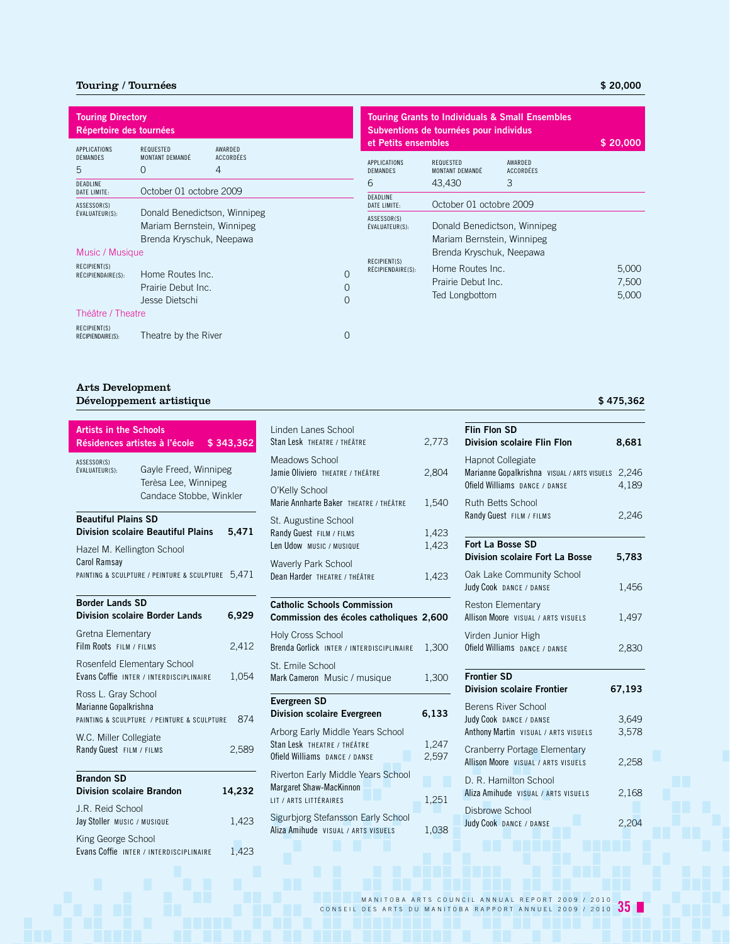## Touring / Tournées **\$ 20,000**

| <b>Touring Directory</b><br>Répertoire des tournées |                                                            |                                  |          |                                                      | Subventions de tournées pour individus                 | <b>Touring Grants to Individuals &amp; Small Ensembles</b> |          |
|-----------------------------------------------------|------------------------------------------------------------|----------------------------------|----------|------------------------------------------------------|--------------------------------------------------------|------------------------------------------------------------|----------|
| APPLICATIONS<br>DEMANDES<br>5<br><b>DEADLINE</b>    | REQUESTED<br>MONTANT DEMANDÉ<br>0                          | AWARDED<br><b>ACCORDÉES</b><br>4 |          | et Petits ensembles<br>APPLICATIONS<br>DEMANDES<br>6 | <b>REQUESTED</b><br>MONTANT DEMANDÉ<br>43,430          | AWARDED<br><b>ACCORDÉES</b><br>3                           | \$20,000 |
| DATE LIMITE:<br>ASSESSOR(S)                         | October 01 octobre 2009                                    |                                  |          | DEADLINE<br>DATE LIMITE:                             | October 01 octobre 2009                                |                                                            |          |
| EVALUATEUR(S):                                      | Donald Benedictson, Winnipeg<br>Mariam Bernstein, Winnipeg |                                  |          | ASSESSOR(S)<br>ÉVALUATEUR(S):                        |                                                        | Donald Benedictson, Winnipeg                               |          |
|                                                     | Brenda Kryschuk, Neepawa                                   |                                  |          |                                                      | Mariam Bernstein, Winnipeg<br>Brenda Kryschuk, Neepawa |                                                            |          |
| Music / Musique<br>RECIPIENT(S)                     |                                                            |                                  |          | RECIPIENT(S)                                         |                                                        |                                                            |          |
| RÉCIPIENDAIRE(S):                                   | Home Routes Inc.                                           |                                  | $\Omega$ | RÉCIPIENDAIRE(S):                                    | Home Routes Inc.                                       |                                                            | 5,000    |
|                                                     | Prairie Debut Inc.                                         |                                  | 0        |                                                      | Prairie Debut Inc.                                     |                                                            | 7,500    |
|                                                     | Jesse Dietschi                                             |                                  | $\Omega$ |                                                      | Ted Longbottom                                         |                                                            | 5,000    |
| Théâtre / Theatre                                   |                                                            |                                  |          |                                                      |                                                        |                                                            |          |
| RECIPIENT(S)<br>RÉCIPIENDAIRE(S):                   | Theatre by the River                                       |                                  | 0        |                                                      |                                                        |                                                            |          |

## Arts Development Développement artistique **\$ 475,362**

| <b>Artists in the Schools</b><br>Résidences artistes à l'école |                                                                          | \$343,362 |
|----------------------------------------------------------------|--------------------------------------------------------------------------|-----------|
| ASSESSOR(S)<br>ÉVALUATEUR(S):                                  | Gayle Freed, Winnipeg<br>Terèsa Lee, Winnipeg<br>Candace Stobbe, Winkler |           |
| <b>Beautiful Plains SD</b>                                     | <b>Division scolaire Beautiful Plains</b>                                | 5.471     |
| Hazel M. Kellington School<br><b>Carol Ramsay</b>              | PAINTING & SCULPTURE / PEINTURE & SCULPTURE                              | 5,471     |
| <b>Border Lands SD</b>                                         | <b>Division scolaire Border Lands</b>                                    | 6,929     |
| Gretna Elementary<br>Film Roots FILM / FILMS                   |                                                                          | 2,412     |
| Rosenfeld Elementary School                                    | Evans Coffie INTER / INTERDISCIPLINAIRE                                  | 1,054     |
| Ross L. Gray School<br>Marianne Gopalkrishna                   | PAINTING & SCULPTURE / PEINTURE & SCULPTURE                              | 874       |
| W.C. Miller Collegiate<br>Randy Guest FILM / FILMS             |                                                                          | 2.589     |
| <b>Brandon SD</b><br><b>Division scolaire Brandon</b>          |                                                                          | 14,232    |
| J.R. Reid School<br>Jay Stoller MUSIC / MUSIQUE                |                                                                          | 1.423     |
| King George School                                             | Evans Coffie INTER / INTERDISCIPLINAIRE                                  | 1.423     |
|                                                                |                                                                          |           |

| Linden Lanes School<br>Stan Lesk THEATRE / THÉÂTRE                                               | 2,773          |
|--------------------------------------------------------------------------------------------------|----------------|
| Meadows School<br>Jamie Oliviero THEATRE / THÉÂTRE                                               | 2,804          |
| O'Kelly School<br>Marie Annharte Baker THEATRE / THÉÂTRE                                         | 1,540          |
| St. Augustine School<br>Randy Guest FILM / FILMS<br>Len Udow MUSIC / MUSIQUE                     | 1,423<br>1,423 |
| <b>Waverly Park School</b><br>Dean Harder THEATRE / THÉÂTRE                                      | 1,423          |
|                                                                                                  |                |
| <b>Catholic Schools Commission</b><br>Commission des écoles catholiques 2,600                    |                |
| <b>Holy Cross School</b><br>Brenda Gorlick INTER / INTERDISCIPLINAIRE                            | 1,300          |
| St. Emile School<br>Mark Cameron Music / musique                                                 | 1,300          |
| <b>Evergreen SD</b><br>Division scolaire Evergreen                                               | 6,133          |
| Arborg Early Middle Years School<br>Stan Lesk THEATRE / THÉÂTRE<br>Ofield Williams DANCE / DANSE | 1,247<br>2,597 |

| Margaret Shaw-MacKinnon             |       |
|-------------------------------------|-------|
| LIT / ARTS LITTÉRAIRES              | 1.251 |
| Sigurbjorg Stefansson Early School  |       |
| Aliza Amihude VISUAL / ARTS VISUELS | 1.038 |

| <b>Flin Flon SD</b><br><b>Division scolaire Flin Flon</b>                                                | 8,681          |
|----------------------------------------------------------------------------------------------------------|----------------|
| <b>Hapnot Collegiate</b><br>Marianne Gopalkrishna VISUAL / ARTS VISUELS<br>Ofield Williams DANCE / DANSE | 2,246<br>4,189 |
| <b>Ruth Betts School</b><br>Randy Guest FILM / FILMS                                                     | 2,246          |
| <b>Fort La Bosse SD</b><br>Division scolaire Fort La Bosse                                               | 5,783          |
| Oak Lake Community School<br>Judy Cook DANCE / DANSE                                                     | 1,456          |
| Reston Elementary<br>Allison Moore VISUAL / ARTS VISUELS                                                 | 1,497          |
| Virden Junior High<br>Ofield Williams DANCE / DANSE                                                      | 2,830          |
| <b>Frontier SD</b><br><b>Division scolaire Frontier</b>                                                  | 67,193         |
| Berens River School<br>Judy Cook DANCE / DANSE<br>Anthony Martin VISUAL / ARTS VISUELS                   | 3,649<br>3,578 |
| Cranberry Portage Elementary<br>Allison Moore VISUAL / ARTS VISUELS                                      | 2,258          |
| D. R. Hamilton School<br>Aliza Amihude VISUAL / ARTS VISUELS                                             | 2,168          |
| Disbrowe School<br>Judy Cook DANCE / DANSE                                                               | 2,204          |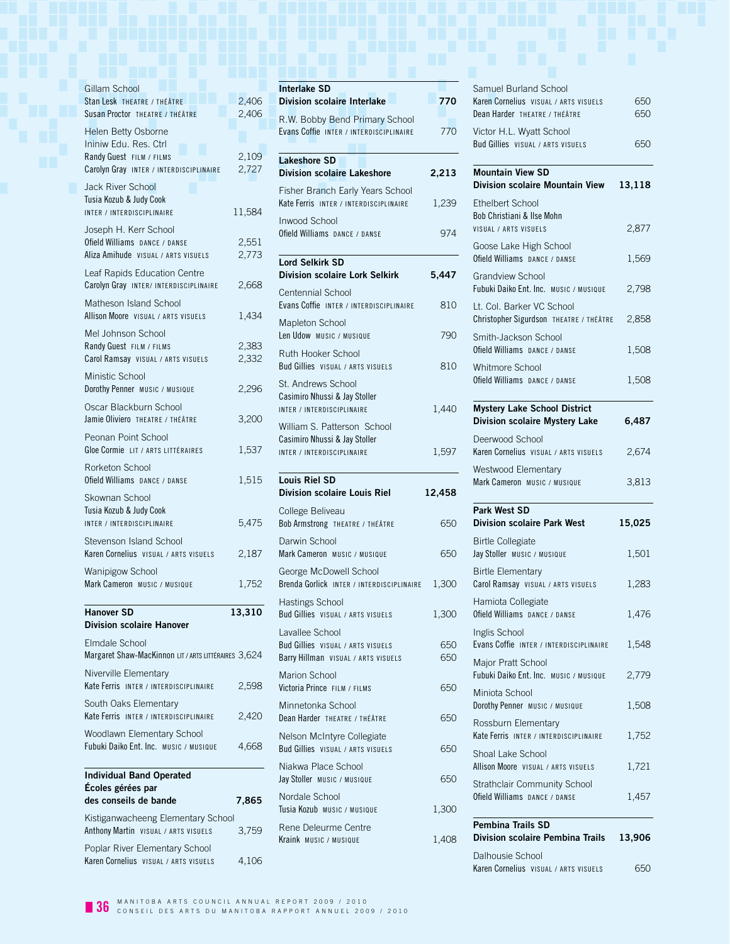| Gillam School<br>Stan Lesk THEATRE / THÉÂTRE                               | 2,406  |
|----------------------------------------------------------------------------|--------|
| Susan Proctor THEATRE / THÉÂTRE                                            | 2,406  |
| <b>Helen Betty Osborne</b>                                                 |        |
| Ininiw Edu. Res. Ctrl<br>Randy Guest FILM / FILMS                          | 2,109  |
| Carolyn Gray INTER / INTERDISCIPLINAIRE                                    | 2,727  |
| <b>Jack River School</b><br>Tusia Kozub & Judy Cook                        |        |
| INTER / INTERDISCIPLINAIRE                                                 | 11,584 |
| Joseph H. Kerr School<br>Ofield Williams DANCE / DANSE                     | 2,551  |
| Aliza Amihude VISUAL / ARTS VISUELS                                        | 2,773  |
| Leaf Rapids Education Centre<br>Carolyn Gray INTER/INTERDISCIPLINAIRE      | 2,668  |
| Matheson Island School<br>Allison Moore VISUAL / ARTS VISUELS              | 1,434  |
| Mel Johnson School<br>Randy Guest FILM / FILMS                             | 2,383  |
| Carol Ramsay VISUAL / ARTS VISUELS                                         | 2,332  |
| Ministic School                                                            |        |
| Dorothy Penner MUSIC / MUSIQUE<br>Oscar Blackburn School                   | 2.296  |
| Jamie Oliviero THEATRE / THÉÂTRE                                           | 3,200  |
| Peonan Point School<br>Gloe Cormie LIT / ARTS LITTÉRAIRES                  | 1,537  |
| Rorketon School<br>Ofield Williams DANCE / DANSE                           | 1,515  |
|                                                                            |        |
| Skownan School                                                             |        |
| Tusia Kozub & Judy Cook<br>INTER / INTERDISCIPLINAIRE                      | 5,475  |
| Stevenson Island School                                                    |        |
| Karen Cornelius VISUAL / ARTS VISUELS                                      | 2,187  |
| Wanipigow School<br>Mark Cameron Music / Musique                           | 1,752  |
| <b>Hanover SD</b><br><b>Division scolaire Hanover</b>                      | 13,310 |
| Elmdale School                                                             |        |
| Margaret Shaw-MacKinnon LIT / ARTS LITTÉRAIRES 3,624                       |        |
| Niverville Elementary<br>Kate Ferris INTER / INTERDISCIPLINAIRE            | 2.598  |
| South Oaks Elementary<br>Kate Ferris INTER / INTERDISCIPLINAIRE            | 2,420  |
| Woodlawn Elementary School<br>Fubuki Daiko Ent. Inc. Music / Musique       | 4,668  |
|                                                                            |        |
| <b>Individual Band Operated</b><br>Écoles gérées par                       |        |
| des conseils de bande                                                      | 7,865  |
| Kistiganwacheeng Elementary School<br>Anthony Martin VISUAL / ARTS VISUELS | 3,759  |

| <b>Interlake SD</b><br><b>Division scolaire Interlake</b>                                                                                                                                               | 770                                    |
|---------------------------------------------------------------------------------------------------------------------------------------------------------------------------------------------------------|----------------------------------------|
| R.W. Bobby Bend Primary School<br>Evans Coffie INTER / INTERDISCIPLINAIRE                                                                                                                               | 770                                    |
| <b>Lakeshore SD</b><br><b>Division scolaire Lakeshore</b>                                                                                                                                               | 2,213                                  |
| Fisher Branch Early Years School<br>Kate Ferris INTER / INTERDISCIPLINAIRE                                                                                                                              | 1,239                                  |
| <b>Inwood School</b><br>Ofield Williams DANCE / DANSE                                                                                                                                                   | 974                                    |
| <b>Lord Selkirk SD</b><br><b>Division scolaire Lork Selkirk</b>                                                                                                                                         | 5,447                                  |
| Centennial School<br>Evans Coffie INTER / INTERDISCIPLINAIRE                                                                                                                                            | 810                                    |
| Mapleton School<br>Len Udow MUSIC / MUSIQUE                                                                                                                                                             | 790                                    |
| Ruth Hooker School<br>Bud Gillies VISUAL / ARTS VISUELS                                                                                                                                                 | 810                                    |
| St. Andrews School<br>Casimiro Nhussi & Jay Stoller<br>INTER / INTERDISCIPLINAIRE                                                                                                                       | 1,440                                  |
| William S. Patterson School<br>Casimiro Nhussi & Jay Stoller<br>INTER / INTERDISCIPLINAIRE                                                                                                              | 1,597                                  |
| <b>Louis Riel SD</b><br><b>Division scolaire Louis Riel</b>                                                                                                                                             |                                        |
|                                                                                                                                                                                                         |                                        |
|                                                                                                                                                                                                         |                                        |
| College Beliveau<br>Darwin School<br>Mark Cameron MUSIC / MUSIQUE                                                                                                                                       |                                        |
|                                                                                                                                                                                                         |                                        |
| <b>Hastings School</b>                                                                                                                                                                                  | 12,458<br>650<br>650<br>1,300<br>1,300 |
| George McDowell School<br>Brenda Gorlick INTER / INTERDISCIPLINAIRE<br>Bud Gillies VISUAL / ARTS VISUELS<br>Lavallee School<br>Bud Gillies VISUAL / ARTS VISUELS<br>Barry Hillman VISUAL / ARTS VISUELS | 650<br>650                             |
| Bob Armstrong THEATRE / THÉÂTRE<br>Marion School<br>Victoria Prince FILM / FILMS                                                                                                                        | 650                                    |
| Minnetonka School<br>Dean Harder THEATRE / THÉÂTRE                                                                                                                                                      | 650                                    |
| Nelson McIntyre Collegiate<br>Bud Gillies VISUAL / ARTS VISUELS                                                                                                                                         |                                        |
| Niakwa Place School                                                                                                                                                                                     |                                        |
|                                                                                                                                                                                                         | 650<br>650<br>1,300                    |
| Jay Stoller MUSIC / MUSIQUE<br>Nordale School<br>Tusia Kozub Music / Musique<br>Rene Deleurme Centre<br>Kraink MUSIC / MUSIQUE                                                                          | 1,408                                  |

| <b>Pembina Trails SD</b>                                                       |        |
|--------------------------------------------------------------------------------|--------|
| Strathclair Community School<br>Ofield Williams DANCE / DANSE                  | 1,457  |
| Shoal Lake School<br>Allison Moore VISUAL / ARTS VISUELS                       | 1,721  |
| Rossburn Elementary<br>Kate Ferris INTER / INTERDISCIPLINAIRE                  | 1,752  |
| Miniota School<br>Dorothy Penner MUSIC / MUSIQUE                               | 1,508  |
| Major Pratt School<br>Fubuki Daiko Ent. Inc. MUSIC / MUSIQUE                   | 2,779  |
| Inglis School<br>Evans Coffie INTER / INTERDISCIPLINAIRE                       | 1,548  |
| Hamiota Collegiate<br>Ofield Williams DANCE / DANSE                            | 1,476  |
| <b>Birtle Elementary</b><br>Carol Ramsay VISUAL / ARTS VISUELS                 | 1,283  |
| <b>Birtle Collegiate</b><br>Jay Stoller MUSIC / MUSIQUE                        | 1,501  |
| Park West SD<br><b>Division scolaire Park West</b>                             | 15,025 |
| Westwood Elementary<br>Mark Cameron MUSIC / MUSIQUE                            | 3,813  |
| Deerwood School<br>Karen Cornelius VISUAL / ARTS VISUELS                       | 2,674  |
| <b>Mystery Lake School District</b><br><b>Division scolaire Mystery Lake</b>   | 6,487  |
| Whitmore School<br>Ofield Williams DANCE / DANSE                               | 1,508  |
| Smith-Jackson School<br>Ofield Williams DANCE / DANSE                          | 1,508  |
| Lt. Col. Barker VC School<br>Christopher Sigurdson THEATRE / THÉÂTRE           | 2,858  |
| <b>Grandview School</b><br>Fubuki Daiko Ent. Inc. MUSIC / MUSIQUE              | 2,798  |
| Goose Lake High School<br>Ofield Williams DANCE / DANSE                        | 1,569  |
| <b>Fthelbert School</b><br>Bob Christiani & Ilse Mohn<br>VISUAL / ARTS VISUELS | 2,877  |
| <b>Mountain View SD</b><br><b>Division scolaire Mountain View</b>              | 13,118 |
| Victor H.L. Wyatt School<br>Bud Gillies VISUAL / ARTS VISUELS                  | 650    |
|                                                                                |        |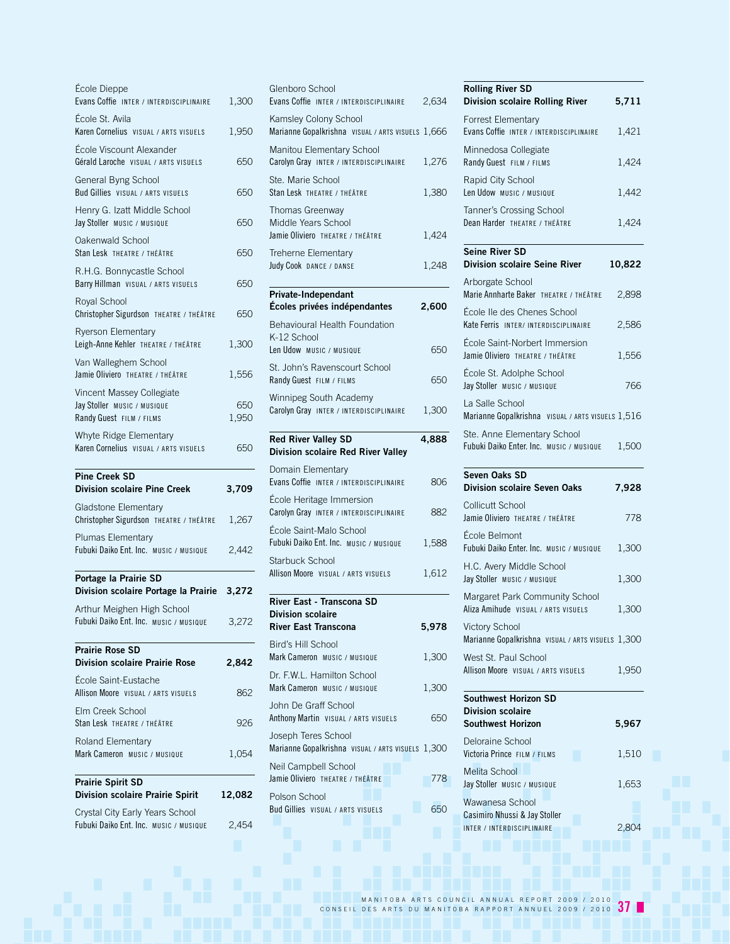| École Dieppe<br>Evans Coffie INTER / INTERDISCIPLINAIRE                              | 1,300        |
|--------------------------------------------------------------------------------------|--------------|
| École St. Avila<br>Karen Cornelius VISUAL / ARTS VISUELS                             | 1,950        |
| École Viscount Alexander<br>Gérald Laroche VISUAL / ARTS VISUELS                     | 650          |
| General Byng School<br>Bud Gillies VISUAL / ARTS VISUELS                             | 650          |
| Henry G. Izatt Middle School<br>Jay Stoller MUSIC / MUSIQUE                          | 650          |
| Oakenwald School<br>Stan Lesk THEATRE / THÉÂTRE                                      | 650          |
| R.H.G. Bonnycastle School<br>Barry Hillman VISUAL / ARTS VISUELS                     | 650          |
| Royal School<br>Christopher Sigurdson THEATRE / THÉÂTRE                              | 650          |
| <b>Ryerson Elementary</b><br>Leigh-Anne Kehler THEATRE / THÉÂTRE                     | 1,300        |
| Van Walleghem School<br>Jamie Oliviero THEATRE / THÉÂTRE                             | 1,556        |
| Vincent Massey Collegiate<br>Jay Stoller MUSIC / MUSIQUE<br>Randy Guest FILM / FILMS | 650<br>1,950 |
| Whyte Ridge Elementary<br>Karen Cornelius VISUAL / ARTS VISUELS                      | 650          |
| <b>Pine Creek SD</b><br><b>Division scolaire Pine Creek</b>                          | 3,709        |
| Gladstone Elementary<br>Christopher Sigurdson THEATRE / THÉÂTRE                      | 1,267        |
| Plumas Elementary<br>Fubuki Daiko Ent. Inc. MUSIC / MUSIQUE                          | 2,442        |
| Portage la Prairie SD<br>Division scolaire Portage la Prairie                        | 3,272        |
| Arthur Meighen High School                                                           | 3,272        |
| Fubuki Daiko Ent. Inc. MUSIC / MUSIQUE                                               |              |
| <b>Prairie Rose SD</b><br><b>Division scolaire Prairie Rose</b>                      | 2,842        |
| École Saint-Eustache<br>Allison Moore VISUAL / ARTS VISUELS                          | 862          |
| Elm Creek School<br>Stan Lesk THEATRE / THÉÂTRE                                      | 926          |
| Roland Elementary<br>Mark Cameron MUSIC / MUSIQUE                                    | 1.054        |
| <b>Prairie Spirit SD</b><br><b>Division scolaire Prairie Spirit</b>                  | 12,082       |

| Glenboro School<br>Evans Coffie INTER / INTERDISCIPLINAIRE                 | 2,634 |
|----------------------------------------------------------------------------|-------|
| Kamsley Colony School<br>Marianne Gopalkrishna VISUAL / ARTS VISUELS 1,666 |       |
| Manitou Elementary School<br>Carolyn Gray INTER / INTERDISCIPLINAIRE       | 1,276 |
| Ste. Marie School<br>Stan Lesk THEATRE / THÉÂTRE                           | 1,380 |
| Thomas Greenway<br>Middle Years School<br>Jamie Oliviero THEATRE / THÉÂTRE | 1,424 |
| Treherne Elementary<br>Judy Cook DANCE / DANSE                             | 1,248 |
| Private-Independant<br>Écoles privées indépendantes                        | 2,600 |
| <b>Behavioural Health Foundation</b>                                       |       |
| K-12 School<br>Len Udow MUSIC / MUSIQUE                                    | 650   |
| St. John's Ravenscourt School<br>Randy Guest FILM / FILMS                  | 650   |
| Winnipeg South Academy<br>Carolyn Gray INTER / INTERDISCIPLINAIRE          | 1,300 |
| <b>Red River Valley SD</b><br>Division scolaire Red River Valley           | 4,888 |
| Domain Elementary<br>Evans Coffie INTER / INTERDISCIPLINAIRE               | 806   |
| École Heritage Immersion<br>Carolyn Gray INTER / INTERDISCIPLINAIRE        | 882   |
| École Saint-Malo School<br>Fubuki Daiko Ent. Inc. MUSIC / MUSIQUE          | 1,588 |
| Starbuck School<br>Allison Moore VISUAL / ARTS VISUELS                     | 1,612 |
| River East - Transcona SD<br><b>Division scolaire</b>                      |       |
| <b>River East Transcona</b>                                                | 5,978 |
| Bird's Hill School<br>Mark Cameron MUSIC / MUSIQUE                         | 1,300 |
| Dr. F.W.L. Hamilton School<br>Mark Cameron MUSIC / MUSIQUE                 | 1,300 |
| John De Graff School<br>Anthony Martin VISUAL / ARTS VISUELS               | 650   |
| Joseph Teres School<br>Marianne Gopalkrishna VISUAL / ARTS VISUELS 1,300   |       |
| Neil Campbell School<br>Jamie Oliviero THEATRE / THÉÂTRE                   | 778   |
| Polson School<br>Bud Gillies VISUAL / ARTS VISUELS                         | 650   |
|                                                                            |       |

| <b>Rolling River SD</b><br><b>Division scolaire Rolling River</b>          | 5,711  |
|----------------------------------------------------------------------------|--------|
| <b>Forrest Elementary</b><br>Evans Coffie INTER / INTERDISCIPLINAIRE       | 1,421  |
| Minnedosa Collegiate<br>Randy Guest FILM / FILMS                           | 1,424  |
| Rapid City School<br>Len Udow MUSIC / MUSIQUE                              | 1,442  |
| Tanner's Crossing School<br>Dean Harder THEATRE / THÉÂTRE                  | 1.424  |
| <b>Seine River SD</b><br><b>Division scolaire Seine River</b>              | 10,822 |
| Arborgate School<br>Marie Annharte Baker THEATRE / THÉÂTRE                 | 2,898  |
| École Ile des Chenes School<br>Kate Ferris INTER/INTERDISCIPLINAIRE        | 2,586  |
| École Saint-Norbert Immersion<br>Jamie Oliviero THEATRE / THÉÂTRE          | 1,556  |
| École St. Adolphe School<br>Jay Stoller MUSIC / MUSIQUE                    | 766    |
| La Salle School<br>Marianne Gopalkrishna visual / ARTS visuels 1,516       |        |
| Ste. Anne Elementary School<br>Fubuki Daiko Enter. Inc. Music / Musique    | 1,500  |
|                                                                            |        |
| Seven Oaks SD<br><b>Division scolaire Seven Oaks</b>                       | 7,928  |
| <b>Collicutt School</b><br>Jamie Oliviero THEATRE / THÉÂTRE                | 778    |
| École Belmont<br>Fubuki Daiko Enter. Inc. MUSIC / MUSIQUE                  | 1,300  |
| H.C. Avery Middle School<br>Jay Stoller MUSIC / MUSIQUE                    | 1,300  |
| Margaret Park Community School<br>Aliza Amihude VISUAL / ARTS VISUELS      | 1,300  |
| <b>Victory School</b><br>Marianne Gopalkrishna VISUAL / ARTS VISUELS 1,300 |        |
| West St. Paul School<br>Allison Moore VISUAL / ARTS VISUELS                | 1,950  |
| <b>Southwest Horizon SD</b>                                                |        |
| <b>Division scolaire</b><br><b>Southwest Horizon</b>                       | 5,967  |
| Deloraine School<br>Victoria Prince FILM / FILMS                           | 1,510  |
| Melita School<br>Jay Stoller MUSIC / MUSIQUE                               | 1,653  |
| Wawanesa School<br>Casimiro Nhussi & Jay Stoller                           |        |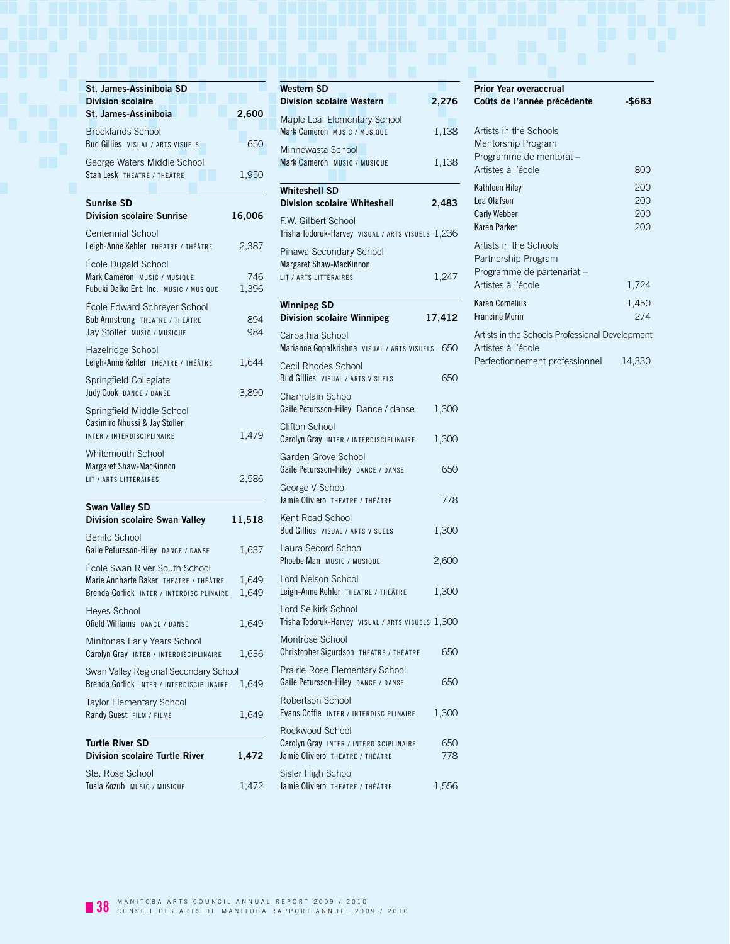| St. James-Assiniboia SD<br><b>Division scolaire</b>                    |              | <b>Western SD</b><br><b>Division sco</b> |
|------------------------------------------------------------------------|--------------|------------------------------------------|
| St. James-Assiniboia                                                   | 2,600        | Maple Leaf E                             |
| <b>Brooklands School</b>                                               |              | Mark Cameron                             |
| Bud Gillies VISUAL / ARTS VISUELS                                      | 650          | Minnewasta                               |
| George Waters Middle School<br>Stan Lesk THEATRE / THÉÂTRE             | 1,950        | <b>Mark Cameron</b>                      |
|                                                                        |              | <b>Whiteshell S</b>                      |
| <b>Sunrise SD</b>                                                      |              | <b>Division sco</b>                      |
| <b>Division scolaire Sunrise</b>                                       | 16,006       | F.W. Gilbert :                           |
| <b>Centennial School</b>                                               |              | Trisha Todoruk-                          |
| Leigh-Anne Kehler THEATRE / THÉÂTRE                                    | 2,387        | Pinawa Secc                              |
| École Dugald School                                                    |              | <b>Margaret Shaw</b>                     |
| Mark Cameron MUSIC / MUSIQUE<br>Fubuki Daiko Ent. Inc. MUSIC / MUSIQUE | 746<br>1,396 | LIT / ARTS LITTÉ                         |
|                                                                        |              | <b>Winnipeg SI</b>                       |
| École Edward Schreyer School<br>Bob Armstrong THEATRE / THÉÂTRE        | 894          | <b>Division sco</b>                      |
| Jay Stoller MUSIC / MUSIQUE                                            | 984          | Carpathia Sc                             |
| Hazelridge School                                                      |              | <b>Marianne Gopa</b>                     |
| Leigh-Anne Kehler THEATRE / THÉÂTRE                                    | 1,644        | Cecil Rhodes                             |
| Springfield Collegiate                                                 |              | <b>Bud Gillies</b> vis                   |
| Judy Cook DANCE / DANSE                                                | 3,890        | Champlain S                              |
| Springfield Middle School                                              |              | Gaile Peturssor                          |
| Casimiro Nhussi & Jay Stoller<br>INTER / INTERDISCIPLINAIRE            | 1,479        | Clifton Schoo                            |
| Whitemouth School                                                      |              | Carolyn Gray II                          |
| Margaret Shaw-MacKinnon                                                |              | Garden Grov<br><b>Gaile Peturssor</b>    |
| LIT / ARTS LITTÉRAIRES                                                 | 2,586        |                                          |
|                                                                        |              | George V Sc<br>Jamie Oliviero            |
| Swan Valley SD<br><b>Division scolaire Swan Valley</b>                 |              | Kent Road S                              |
|                                                                        | 11,518       | <b>Bud Gillies</b> vis                   |
| <b>Benito School</b><br>Gaile Petursson-Hiley DANCE / DANSE            | 1,637        | Laura Secoro                             |
| École Swan River South School                                          |              | Phoebe Man M                             |
| Marie Annharte Baker THEATRE / THÉÂTRE                                 | 1,649        | Lord Nelson                              |
| Brenda Gorlick INTER / INTERDISCIPLINAIRE                              | 1,649        | Leigh-Anne Kel                           |
| Heyes School                                                           |              | Lord Selkirk                             |
| Ofield Williams DANCE / DANSE                                          | 1,649        | Trisha Todoruk-                          |
| Minitonas Early Years School                                           |              | Montrose Sc                              |
| Carolyn Gray INTER / INTERDISCIPLINAIRE                                | 1,636        | Christopher Sig                          |
| Swan Valley Regional Secondary School                                  | 1,649        | Prairie Rose<br>Gaile Peturssor          |
| Brenda Gorlick INTER / INTERDISCIPLINAIRE                              |              | Robertson S                              |
| Taylor Elementary School<br>Randy Guest FILM / FILMS                   | 1,649        | Evans Coffie II                          |
|                                                                        |              | Rockwood S                               |
| <b>Turtle River SD</b>                                                 |              | Carolyn Gray                             |
| <b>Division scolaire Turtle River</b>                                  | 1,472        | Jamie Oliviero                           |
| Ste. Rose School                                                       |              | Sisler High S                            |
| Tusia Kozub MUSIC / MUSIQUE                                            | 1,472        | Jamie Oliviero                           |

|     | <b>Western SD</b>                                                     |        |
|-----|-----------------------------------------------------------------------|--------|
|     | <b>Division scolaire Western</b>                                      | 2,276  |
| 00  | Maple Leaf Elementary School                                          |        |
| 50  | Mark Cameron MUSIC / MUSIQUE                                          | 1,138  |
|     | Minnewasta School<br>Mark Cameron Music / Musique                     | 1,138  |
| 50  |                                                                       |        |
|     | <b>Whiteshell SD</b>                                                  |        |
|     | <b>Division scolaire Whiteshell</b>                                   | 2,483  |
| 06  | F.W. Gilbert School                                                   |        |
|     | Trisha Todoruk-Harvey VISUAL / ARTS VISUELS 1,236                     |        |
| 87  | Pinawa Secondary School                                               |        |
| 46  | Margaret Shaw-MacKinnon                                               |        |
| 96  | LIT / ARTS LITTÉRAIRES                                                | 1,247  |
|     | <b>Winnipeg SD</b>                                                    |        |
| 94  | <b>Division scolaire Winnipeg</b>                                     | 17,412 |
| 84  | Carpathia School                                                      |        |
|     | Marianne Gopalkrishna VISUAL / ARTS VISUELS 650                       |        |
| 44  | Cecil Rhodes School                                                   |        |
|     | Bud Gillies VISUAL / ARTS VISUELS                                     | 650    |
| 90  | Champlain School                                                      |        |
|     | Gaile Petursson-Hiley Dance / danse                                   | 1,300  |
| .79 | <b>Clifton School</b>                                                 |        |
|     | Carolyn Gray INTER / INTERDISCIPLINAIRE                               | 1,300  |
|     | Garden Grove School<br>Gaile Petursson-Hiley DANCE / DANSE            | 650    |
| 86  | George V School                                                       |        |
|     | Jamie Oliviero THEATRE / THÉÂTRE                                      | 778    |
| 18  | Kent Road School                                                      |        |
|     | Bud Gillies VISUAL / ARTS VISUELS                                     | 1,300  |
| 37  | Laura Secord School                                                   |        |
|     | Phoebe Man MUSIC / MUSIQUE                                            | 2,600  |
| 49  | Lord Nelson School                                                    |        |
| 49  | Leigh-Anne Kehler THEATRE / THÉÂTRE                                   | 1,300  |
|     | Lord Selkirk School                                                   |        |
| 49  | Trisha Todoruk-Harvey VISUAL / ARTS VISUELS 1,300                     |        |
|     | Montrose School                                                       |        |
| 36  | Christopher Sigurdson THEATRE / THÉÂTRE                               | 650    |
| 49  | Prairie Rose Elementary School<br>Gaile Petursson-Hiley DANCE / DANSE | 650    |
|     | Robertson School                                                      |        |
| 49  | Evans Coffie INTER / INTERDISCIPLINAIRE                               | 1,300  |
|     | Rockwood School                                                       |        |
|     | Carolyn Gray INTER / INTERDISCIPLINAIRE                               | 650    |
| 72  | Jamie Oliviero THEATRE / THÉÂTRE                                      | 778    |
|     | Sisler High School                                                    |        |
| -72 | Jamie Oliviero THEATRE / THÉÂTRE                                      | 1,556  |

| <b>Prior Year overaccrual</b><br>Coûts de l'année précédente                                      | -\$683                   |
|---------------------------------------------------------------------------------------------------|--------------------------|
| Artists in the Schools<br>Mentorship Program<br>Programme de mentorat -<br>Artistes à l'école     | 800                      |
| Kathleen Hiley<br>Loa Olafson<br><b>Carly Webber</b><br><b>Karen Parker</b>                       | 200<br>200<br>200<br>200 |
| Artists in the Schools<br>Partnership Program<br>Programme de partenariat –<br>Artistes à l'école | 1,724                    |
| <b>Karen Cornelius</b><br><b>Francine Morin</b>                                                   | 1,450<br>274             |
| Artists in the Schools Professional Development<br>Artistes à l'école                             |                          |
| Perfectionnement professionnel                                                                    | 14,330                   |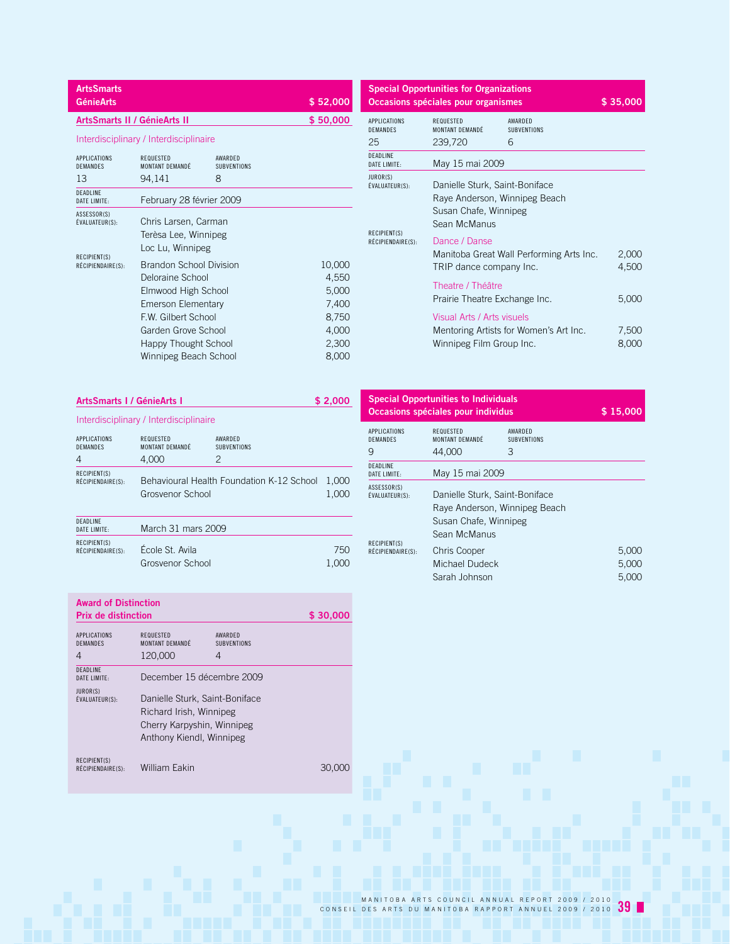| <b>ArtsSmarts</b><br><b>GénieArts</b>        |                                                                                                                                                                                              |                                    | \$52,000                                                              |
|----------------------------------------------|----------------------------------------------------------------------------------------------------------------------------------------------------------------------------------------------|------------------------------------|-----------------------------------------------------------------------|
|                                              | ArtsSmarts II / GénieArts II                                                                                                                                                                 |                                    | \$50,000                                                              |
|                                              | Interdisciplinary / Interdisciplinaire                                                                                                                                                       |                                    |                                                                       |
| <b>APPLICATIONS</b><br><b>DEMANDES</b><br>13 | <b>REQUESTED</b><br>MONTANT DEMANDÉ<br>94,141                                                                                                                                                | AWARDED<br><b>SUBVENTIONS</b><br>8 |                                                                       |
| DEADLINE<br>DATE LIMITE:                     | February 28 février 2009                                                                                                                                                                     |                                    |                                                                       |
| ASSESSOR(S)<br>ÉVALUATEUR(S):                | Chris Larsen, Carman<br>Terèsa Lee, Winnipeg<br>Loc Lu, Winnipeg                                                                                                                             |                                    |                                                                       |
| RECIPIENT(S)<br>RÉCIPIENDAIRE(S):            | Brandon School Division<br>Deloraine School<br>Elmwood High School<br>Emerson Elementary<br><b>FW Gilbert School</b><br>Garden Grove School<br>Happy Thought School<br>Winnipeg Beach School |                                    | 10,000<br>4,550<br>5,000<br>7,400<br>8,750<br>4,000<br>2,300<br>8,000 |

| <b>Special Opportunities for Organizations</b> |                                                                                                          |                                          |                |  |
|------------------------------------------------|----------------------------------------------------------------------------------------------------------|------------------------------------------|----------------|--|
|                                                | Occasions spéciales pour organismes                                                                      |                                          | \$35,000       |  |
| <b>APPLICATIONS</b><br><b>DEMANDES</b><br>25   | REQUESTED<br>MONTANT DEMANDÉ<br>239,720                                                                  | AWARDFD<br><b>SUBVENTIONS</b><br>6       |                |  |
| <b>DEADLINE</b><br>DATE LIMITE:                | May 15 mai 2009                                                                                          |                                          |                |  |
| JUROR(S)<br>ÉVALUATEUR(S):                     | Danielle Sturk, Saint-Boniface<br>Raye Anderson, Winnipeg Beach<br>Susan Chafe, Winnipeg<br>Sean McManus |                                          |                |  |
| RECIPIENT(S)<br>RÉCIPIENDAIRE(S):              | Dance / Danse<br>TRIP dance company Inc.                                                                 | Manitoba Great Wall Performing Arts Inc. | 2,000<br>4,500 |  |
|                                                | Theatre / Théâtre<br>Prairie Theatre Exchange Inc.                                                       |                                          | 5,000          |  |
|                                                | Visual Arts / Arts visuels<br>Winnipeg Film Group Inc.                                                   | Mentoring Artists for Women's Art Inc.   | 7,500<br>8,000 |  |

| ArtsSmarts I / GénieArts I        |                                        |                                           | \$2,000        |  |
|-----------------------------------|----------------------------------------|-------------------------------------------|----------------|--|
|                                   | Interdisciplinary / Interdisciplinaire |                                           |                |  |
| APPLICATIONS<br>DEMANDES<br>4     | REQUESTED<br>MONTANT DEMANDÉ<br>4.000  | AWARDED<br><b>SUBVENTIONS</b><br>2        |                |  |
| RECIPIENT(S)<br>RÉCIPIENDAIRE(S): | Grosvenor School                       | Behavioural Health Foundation K-12 School | 1,000<br>1,000 |  |
| <b>DEADLINE</b><br>DATE LIMITE:   | March 31 mars 2009                     |                                           |                |  |
| RECIPIENT(S)<br>RÉCIPIENDAIRE(S): | École St. Avila<br>Grosvenor School    |                                           | 750<br>1,000   |  |

| <b>Special Opportunities to Individuals</b><br>Occasions spéciales pour individus | \$15,000                                                                                                 |                               |                         |
|-----------------------------------------------------------------------------------|----------------------------------------------------------------------------------------------------------|-------------------------------|-------------------------|
| APPLICATIONS<br>DEMANDES                                                          | REQUESTED<br>MONTANT DEMANDÉ                                                                             | AWARDED<br><b>SUBVENTIONS</b> |                         |
| 9                                                                                 | 44,000                                                                                                   | 3                             |                         |
| DEADLINE<br>DATE LIMITE:                                                          | May 15 mai 2009                                                                                          |                               |                         |
| ASSESSOR(S)<br>ÉVALUATEUR(S):                                                     | Danielle Sturk, Saint-Boniface<br>Raye Anderson, Winnipeg Beach<br>Susan Chafe, Winnipeg<br>Sean McManus |                               |                         |
| RECIPIENT(S)<br>RÉCIPIENDAIRE(S):                                                 | <b>Chris Cooper</b><br>Michael Dudeck<br>Sarah Johnson                                                   |                               | 5,000<br>5.000<br>5.000 |

| <b>Award of Distinction</b>       |                                                                                                                     |                               |          |
|-----------------------------------|---------------------------------------------------------------------------------------------------------------------|-------------------------------|----------|
| <b>Prix de distinction</b>        |                                                                                                                     |                               | \$30,000 |
| APPLICATIONS<br><b>DEMANDES</b>   | REQUESTED<br>MONTANT DEMANDÉ                                                                                        | AWARDED<br><b>SUBVENTIONS</b> |          |
| 4                                 | 120,000                                                                                                             | 4                             |          |
| <b>DEADLINE</b><br>DATE LIMITE:   | December 15 décembre 2009                                                                                           |                               |          |
| JUROR(S)<br>ÉVALUATEUR(S):        | Danielle Sturk, Saint-Boniface<br>Richard Irish, Winnipeg<br>Cherry Karpyshin, Winnipeg<br>Anthony Kiendl, Winnipeg |                               |          |
| RECIPIENT(S)<br>RÉCIPIENDAIRE(S): | William Eakin                                                                                                       |                               | 30.U     |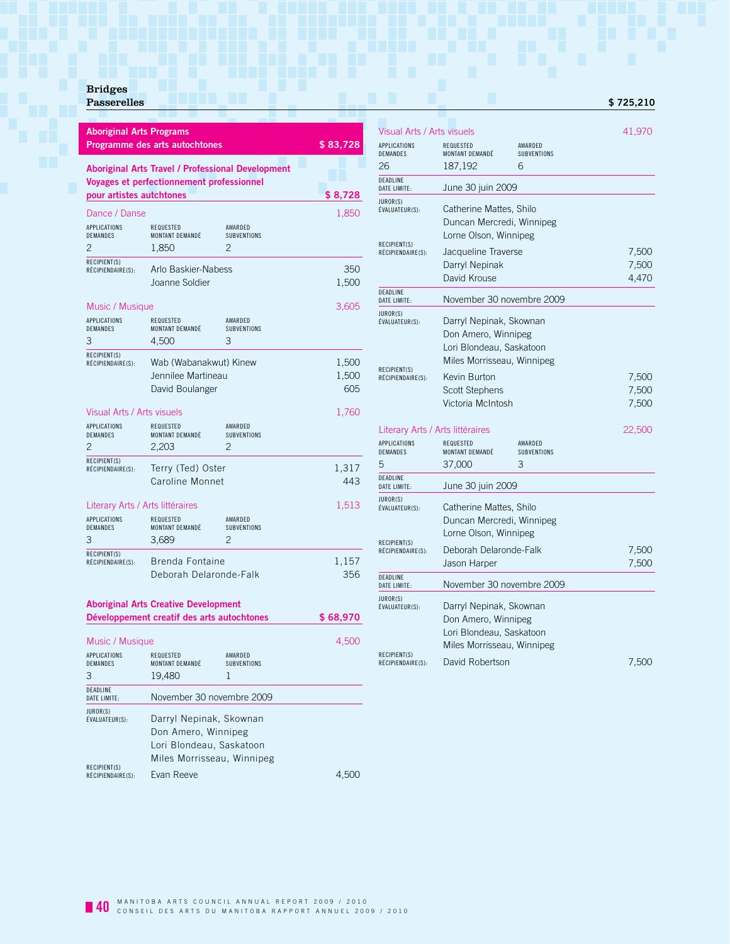# Bridges

| <b>Aboriginal Arts Programs</b>                                                                        | Programme des arts autochtones                                                                 |                                                 | \$83,728              |
|--------------------------------------------------------------------------------------------------------|------------------------------------------------------------------------------------------------|-------------------------------------------------|-----------------------|
| pour artistes autchtones                                                                               | Aboriginal Arts Travel / Professional Development<br>Voyages et perfectionnement professionnel |                                                 | \$8,728               |
| Dance / Danse                                                                                          |                                                                                                |                                                 | 1,850                 |
| APPLICATIONS<br><b>DEMANDES</b><br>2                                                                   | REQUESTED<br>MONTANT DEMANDÉ<br>1,850                                                          | AWARDED<br>SUBVENTIONS<br>2                     |                       |
| RECIPIENT(S)<br>RÉCIPIENDAIRE(S):                                                                      | Arlo Baskier-Nabess<br>Joanne Soldier                                                          |                                                 | 350<br>1,500          |
| Music / Musique                                                                                        |                                                                                                |                                                 | 3,605                 |
| APPLICATIONS<br><b>DEMANDES</b><br>3                                                                   | REQUESTED<br>MONTANT DEMANDÉ<br>4,500                                                          | AWARDED<br><b>SUBVENTIONS</b><br>3              |                       |
| RECIPIENT(S)<br>RÉCIPIENDAIRE(S):                                                                      | Wab (Wabanakwut) Kinew<br>Jennilee Martineau<br>David Boulanger                                |                                                 | 1,500<br>1,500<br>605 |
| Visual Arts / Arts visuels                                                                             |                                                                                                |                                                 | 1,760                 |
| APPLICATIONS<br><b>DEMANDES</b><br>$\overline{c}$                                                      | REQUESTED<br>MONTANT DEMANDÉ<br>2.203                                                          | AWARDED<br><b>SUBVENTIONS</b><br>$\overline{c}$ |                       |
| RECIPIENT(S)<br>RÉCIPIENDAIRE(S):                                                                      | Terry (Ted) Oster<br>Caroline Monnet                                                           |                                                 | 1,317<br>443          |
| Literary Arts / Arts littéraires                                                                       |                                                                                                |                                                 | 1,513                 |
| APPLICATIONS<br><b>DEMANDES</b><br>З                                                                   | REQUESTED<br>MONTANT DEMANDÉ<br>3,689                                                          | AWARDED<br>SUBVENTIONS<br>2                     |                       |
| RECIPIENT(S)<br>RÉCIPIENDAIRE(S):                                                                      | Brenda Fontaine<br>Deborah Delaronde-Falk                                                      |                                                 | 1,157<br>356          |
| <b>Aboriginal Arts Creative Development</b><br>Développement creatif des arts autochtones<br>\$ 68,970 |                                                                                                |                                                 |                       |
| Music / Musique                                                                                        |                                                                                                |                                                 | 4,500                 |

| Music / Musique                             |                                                                                                          |                                    | 4.500 |
|---------------------------------------------|----------------------------------------------------------------------------------------------------------|------------------------------------|-------|
| <b>APPLICATIONS</b><br><b>DEMANDES</b><br>3 | REQUESTED<br>MONTANT DEMANDÉ<br>19,480                                                                   | AWARDED<br><b>SUBVENTIONS</b><br>1 |       |
| DEADLINE<br>DATE LIMITE:                    | November 30 novembre 2009                                                                                |                                    |       |
| JUROR(S)<br>ÉVALUATEUR(S):                  | Darryl Nepinak, Skownan<br>Don Amero, Winnipeg<br>Lori Blondeau, Saskatoon<br>Miles Morrisseau, Winnipeg |                                    |       |
| RECIPIENT(S)<br>RÉCIPIENDAIRE(S):           | Evan Reeve                                                                                               |                                    |       |

### Visual Arts / Arts visuels 41,970 APPLICATIONS REQUESTED AWARDED<br>DEMANDES MONTANT DEMANDÉ SUBVENTIONS MONTANT DEMANDÉ 26 187,192 6 DEADLINE<br>DATE LIMITE: June 30 juin 2009 JUROR(S)<br>ÉVALUATEUR(S): Catherine Mattes, Shilo Duncan Mercredi, Winnipeg Lorne Olson, Winnipeg RECIPIENT(S)<br>RÉCIPIENDAIRE(S): Jacqueline Traverse 7,500 Darryl Nepinak 7,500<br>David Krouse 14.470 David Krouse DEADLINE<br>DATE LIMITE: November 30 novembre 2009 JUROR(S)<br>ÉVALUATEUR(S): Darryl Nepinak, Skownan Don Amero, Winnipeg Lori Blondeau, Saskatoon Miles Morrisseau, Winnipeg RECIPIENT(S)<br>RÉCIPIENDAIRE(S): Revin Burton 7,500 Scott Stephens 7,500 Victoria McIntosh 7,500 Literary Arts / Arts littéraires 22,500 APPLICATIONS REQUESTED AWARDED DEMANDES MONTANT DEMANDÉ SUBVENTIONS 5 37,000 3 DEADLINE<br>DATE LIMITE: June 30 juin 2009 JUROR(S)<br>ÉVALUATEUR(S): Catherine Mattes, Shilo Duncan Mercredi, Winnipeg Lorne Olson, Winnipeg RECIPIENT(S)<br>RÉCIPIENDAIRE(S):

DEADLINE<br>DATE LIMITE:

JUROR(S)<br>ÉVALUATEUR(S):

RECIPIENT(S)<br>RÉCIPIENDAIRE(S):

Récipiend Delaronde-Falk 7,500 Jason Harper 7,500

Report Solution 2,500

November 30 novembre 2009

Darryl Nepinak, Skownan Don Amero, Winnipeg Lori Blondeau, Saskatoon Miles Morrisseau, Winnipeg

**Passerelles • 2006** • 2007 • 2008 • 2009 • 2009 • 2009 • 2009 • 2009 • 2009 • 2009 • 2009 • 2009 • 2009 • 2009 • 2009 • 2009 • 2009 • 2009 • 2009 • 2009 • 2009 • 2009 • 2009 • 2009 • 2009 • 2009 • 2009 • 2009 • 2009 • 200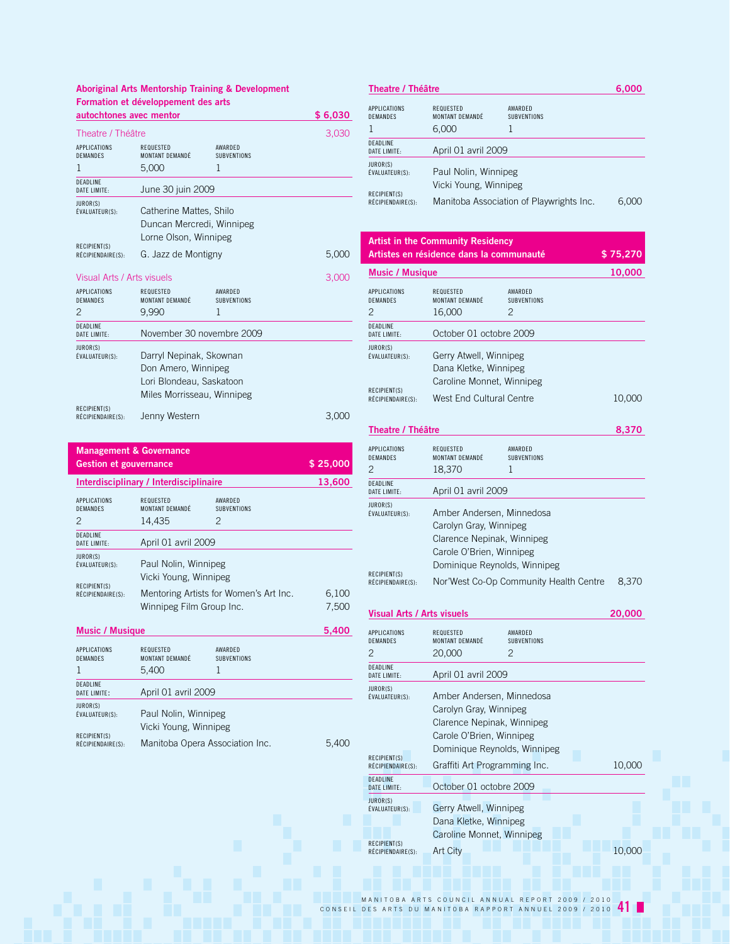## **Aboriginal Arts Mentorship Training & Development Formation et développement des arts**

| autochtones avec mentor           |                              |                               | \$6,030 |
|-----------------------------------|------------------------------|-------------------------------|---------|
| Theatre / Théâtre                 |                              |                               | 3,030   |
| <b>APPLICATIONS</b><br>DEMANDES   | REQUESTED<br>MONTANT DEMANDÉ | AWARDED<br><b>SUBVENTIONS</b> |         |
| 1                                 | 5,000                        | 1                             |         |
| DEADLINE<br>DATE LIMITE:          | June 30 juin 2009            |                               |         |
| JUROR(S)<br>ÉVALUATEUR(S):        | Catherine Mattes, Shilo      |                               |         |
|                                   | Duncan Mercredi, Winnipeg    |                               |         |
|                                   | Lorne Olson, Winnipeg        |                               |         |
| RECIPIENT(S)<br>RÉCIPIENDAIRE(S): | G. Jazz de Montigny          |                               | 5,000   |
| Visual Arts / Arts visuels        |                              |                               | 3,000   |
| <b>APPLICATIONS</b><br>DEMANDES   | REQUESTED<br>MONTANT DEMANDÉ | AWARDED<br><b>SUBVENTIONS</b> |         |
| 2                                 | 9.990                        | 1                             |         |
| <b>DEADLINE</b><br>DATE LIMITE:   | November 30 novembre 2009    |                               |         |
| JUROR(S)<br>ÉVALUATEUR(S):        | Darryl Nepinak, Skownan      |                               |         |
|                                   | Don Amero, Winnipeg          |                               |         |
|                                   | Lori Blondeau, Saskatoon     |                               |         |
|                                   | Miles Morrisseau, Winnipeg   |                               |         |
| RECIPIENT(S)<br>RÉCIPIENDAIRE(S): | Jenny Western                |                               | 3,000   |

| <b>Management &amp; Governance</b><br><b>Gestion et gouvernance</b>         | \$25,000                               |                               |        |
|-----------------------------------------------------------------------------|----------------------------------------|-------------------------------|--------|
|                                                                             | Interdisciplinary / Interdisciplinaire |                               | 13,600 |
| <b>APPLICATIONS</b><br><b>DEMANDES</b>                                      | <b>REQUESTED</b><br>MONTANT DEMANDÉ    | AWARDFD<br><b>SUBVENTIONS</b> |        |
| $\mathcal{P}$                                                               | 14,435                                 | $\mathcal{P}$                 |        |
| <b>DEADLINE</b><br>DATE LIMITE:                                             | April 01 avril 2009                    |                               |        |
| JUROR(S)<br>Paul Nolin, Winnipeg<br>ÉVALUATEUR(S):<br>Vicki Young, Winnipeg |                                        |                               |        |
| RECIPIENT(S)<br>RÉCIPIENDAIRE(S):                                           | Mentoring Artists for Women's Art Inc. |                               | 6,100  |
|                                                                             | Winnipeg Film Group Inc.               |                               | 7,500  |
| <b>Music / Musique</b>                                                      |                                        |                               | 5.400  |
| <b>APPLICATIONS</b>                                                         | <b>REQUESTED</b>                       | AWARDFD                       |        |

| DEMANDES                          | MONTANT DEMANDÉ                               | <b>SUBVENTIONS</b>              |       |
|-----------------------------------|-----------------------------------------------|---------------------------------|-------|
|                                   | 5.400                                         |                                 |       |
| DEADLINE<br>DATE LIMITE:          | April 01 avril 2009                           |                                 |       |
| JUROR(S)<br>ÉVALUATEUR(S):        | Paul Nolin, Winnipeg<br>Vicki Young, Winnipeg |                                 |       |
| RECIPIENT(S)<br>RÉCIPIENDAIRE(S): |                                               | Manitoba Opera Association Inc. | 5.400 |

| Theatre / Théâtre                      |                                               |                                          | 6.000 |
|----------------------------------------|-----------------------------------------------|------------------------------------------|-------|
| <b>APPLICATIONS</b><br><b>DEMANDES</b> | REQUESTED<br>MONTANT DEMANDÉ<br>6.000         | AWARDED<br><b>SUBVENTIONS</b>            |       |
| DEADI INF<br>DATE LIMITE:              | April 01 avril 2009                           |                                          |       |
| JUROR(S)<br>ÉVALUATEUR(S):             | Paul Nolin, Winnipeg<br>Vicki Young, Winnipeg |                                          |       |
| RECIPIENT(S)<br>RÉCIPIENDAIRE(S):      |                                               | Manitoba Association of Playwrights Inc. |       |

| <b>Artist in the Community Residency</b><br>Artistes en résidence dans la communauté<br>\$75,270 |                                                                                                                                               |                                                 |        |  |
|--------------------------------------------------------------------------------------------------|-----------------------------------------------------------------------------------------------------------------------------------------------|-------------------------------------------------|--------|--|
| <b>Music / Musique</b>                                                                           |                                                                                                                                               |                                                 | 10,000 |  |
| APPLICATIONS<br><b>DEMANDES</b><br>$\mathfrak{D}$                                                | <b>REQUESTED</b><br>MONTANT DEMANDÉ<br>16,000                                                                                                 | AWARDED<br><b>SUBVENTIONS</b><br>$\mathfrak{D}$ |        |  |
| DEADLINE<br><b>DATE LIMITE:</b>                                                                  | October 01 octobre 2009                                                                                                                       |                                                 |        |  |
| JUROR(S)<br>ÉVALUATEUR(S):<br>RECIPIENT(S)<br>RÉCIPIENDAIRE(S):                                  | Gerry Atwell, Winnipeg<br>Dana Kletke, Winnipeg<br>Caroline Monnet, Winnipeg<br>West End Cultural Centre                                      |                                                 | 10.000 |  |
| <b>Theatre / Théâtre</b>                                                                         |                                                                                                                                               |                                                 | 8,370  |  |
| <b>APPLICATIONS</b><br><b>DEMANDES</b><br>$\overline{c}$                                         | <b>REQUESTED</b><br>MONTANT DEMANDÉ<br>18,370                                                                                                 | AWARDED<br><b>SUBVENTIONS</b><br>1              |        |  |
| <b>DEADLINE</b><br>DATE LIMITE:                                                                  | April 01 avril 2009                                                                                                                           |                                                 |        |  |
| JUROR(S)<br>ÉVALUATEUR(S):                                                                       | Amber Andersen, Minnedosa<br>Carolyn Gray, Winnipeg<br>Clarence Nepinak, Winnipeg<br>Carole O'Brien, Winnipeg<br>Dominique Reynolds, Winnipeg |                                                 |        |  |
| RECIPIENT(S)<br>RÉCIPIENDAIRE(S):                                                                |                                                                                                                                               | Nor'West Co-Op Community Health Centre          | 8.370  |  |

### **Visual Arts / Arts visuels 20,000**

| APPLICATIONS<br><b>DEMANDES</b>   | <b>REQUESTED</b><br>MONTANT DEMANDÉ                                                                                                           | AWARDED<br><b>SUBVENTIONS</b> |        |
|-----------------------------------|-----------------------------------------------------------------------------------------------------------------------------------------------|-------------------------------|--------|
| 2                                 | 20,000                                                                                                                                        | 2                             |        |
| DEADLINE<br>DATF I IMITF:         | April 01 avril 2009                                                                                                                           |                               |        |
| JUROR(S)<br>ÉVALUATEUR(S):        | Amber Andersen, Minnedosa<br>Carolyn Gray, Winnipeg<br>Clarence Nepinak, Winnipeg<br>Carole O'Brien, Winnipeg<br>Dominique Reynolds, Winnipeg |                               |        |
| RECIPIENT(S)<br>RÉCIPIENDAIRE(S): | Graffiti Art Programming Inc.                                                                                                                 |                               | 10,000 |
| <b>DEADLINE</b><br>DATE LIMITE:   | October 01 octobre 2009                                                                                                                       |                               |        |
| <b>JUROR(S)</b><br>ÉVALUATEUR(S): | Gerry Atwell, Winnipeg<br>Dana Kletke, Winnipeg<br>Caroline Monnet, Winnipeg                                                                  |                               |        |
| RECIPIENT(S)<br>RÉCIPIENDAIRE(S): | <b>Art City</b>                                                                                                                               |                               | 10,000 |